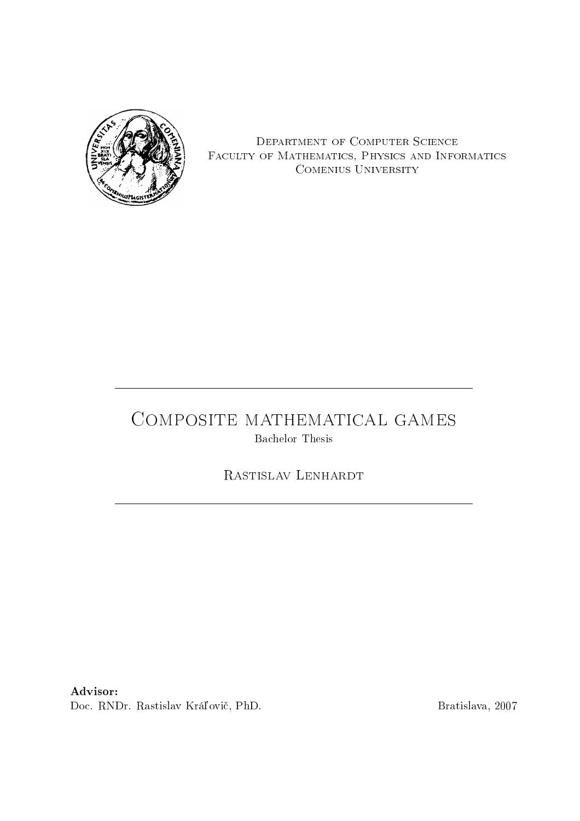

Department of Computer Science Faculty of Mathematics, Physics and Informatics Comenius University

# COMPOSITE MATHEMATICAL GAMES Bachelor Thesis

Rastislav Lenhardt

Advisor:

Doc. RNDr. Rastislav Kráľovič, PhD. Bratislava, 2007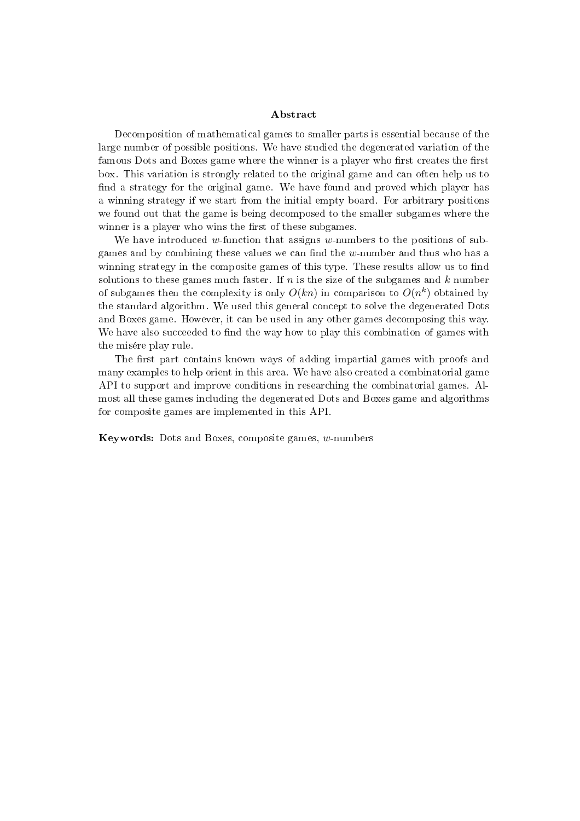#### Abstract

Decomposition of mathematical games to smaller parts is essential because of the large number of possible positions. We have studied the degenerated variation of the famous Dots and Boxes game where the winner is a player who first creates the first box. This variation is strongly related to the original game and can often help us to find a strategy for the original game. We have found and proved which player has a winning strategy if we start from the initial empty board. For arbitrary positions we found out that the game is being decomposed to the smaller subgames where the winner is a player who wins the first of these subgames.

We have introduced w-function that assigns w-numbers to the positions of subgames and by combining these values we can find the  $w$ -number and thus who has a winning strategy in the composite games of this type. These results allow us to find solutions to these games much faster. If n is the size of the subgames and  $k$  number of subgames then the complexity is only  $O(kn)$  in comparison to  $O(n^k)$  obtained by the standard algorithm. We used this general concept to solve the degenerated Dots and Boxes game. However, it can be used in any other games decomposing this way. We have also succeeded to find the way how to play this combination of games with the misére play rule.

The first part contains known ways of adding impartial games with proofs and many examples to help orient in this area. We have also created a combinatorial game API to support and improve conditions in researching the combinatorial games. Almost all these games including the degenerated Dots and Boxes game and algorithms for composite games are implemented in this API.

Keywords: Dots and Boxes, composite games, w-numbers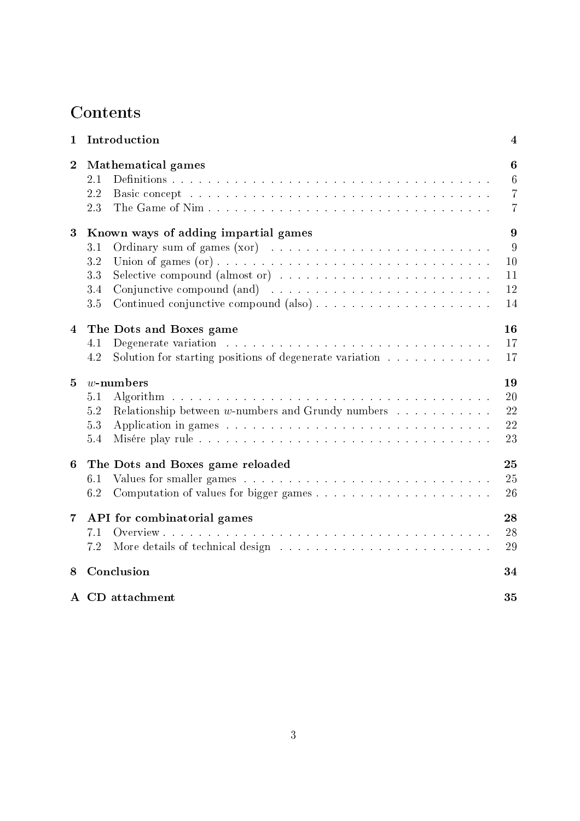# **Contents**

| 1              | Introduction                                                                                                                                                          | $\overline{\mathbf{4}}$                                                 |
|----------------|-----------------------------------------------------------------------------------------------------------------------------------------------------------------------|-------------------------------------------------------------------------|
| $\overline{2}$ | <b>Mathematical games</b><br>$2.1\,$<br>2.2<br>2.3                                                                                                                    | $\boldsymbol{6}$<br>$6\phantom{.}6$<br>$\overline{7}$<br>$\overline{7}$ |
| 3              | Known ways of adding impartial games<br>3.1<br>$3.2\,$<br>Selective compound (almost or) $\dots \dots \dots \dots \dots \dots \dots \dots \dots$<br>3.3<br>3.4<br>3.5 | 9<br>9<br>10<br>11<br>12<br>14                                          |
| 4              | The Dots and Boxes game<br>4.1<br>Solution for starting positions of degenerate variation<br>4.2                                                                      | 16<br>17<br>17                                                          |
| 5              | $w$ -numbers<br>5.1<br>Relationship between $w$ -numbers and Grundy numbers $\dots \dots \dots$<br>5.2<br>5.3<br>5.4                                                  | 19<br>20<br>22<br>22<br>23                                              |
| 6              | The Dots and Boxes game reloaded<br>6.1<br>6.2                                                                                                                        | 25<br>25<br>26                                                          |
| $\overline{7}$ | API for combinatorial games<br>7.1<br>7.2                                                                                                                             | 28<br>28<br>29                                                          |
| 8              | Conclusion                                                                                                                                                            | 34                                                                      |
|                | A CD attachment                                                                                                                                                       | 35                                                                      |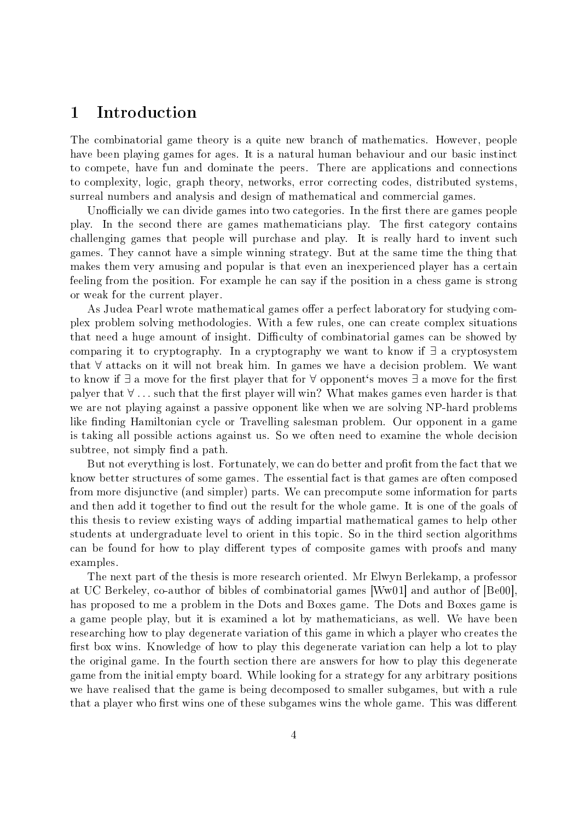### 1 Introduction

The combinatorial game theory is a quite new branch of mathematics. However, people have been playing games for ages. It is a natural human behaviour and our basic instinct to compete, have fun and dominate the peers. There are applications and connections to complexity, logic, graph theory, networks, error correcting codes, distributed systems, surreal numbers and analysis and design of mathematical and commercial games.

Unofficially we can divide games into two categories. In the first there are games people play. In the second there are games mathematicians play. The first category contains challenging games that people will purchase and play. It is really hard to invent such games. They cannot have a simple winning strategy. But at the same time the thing that makes them very amusing and popular is that even an inexperienced player has a certain feeling from the position. For example he can say if the position in a chess game is strong or weak for the current player.

As Judea Pearl wrote mathematical games offer a perfect laboratory for studying complex problem solving methodologies. With a few rules, one can create complex situations that need a huge amount of insight. Difficulty of combinatorial games can be showed by comparing it to cryptography. In a cryptography we want to know if ∃ a cryptosystem that ∀ attacks on it will not break him. In games we have a decision problem. We want to know if  $\exists$  a move for the first player that for  $\forall$  opponent's moves  $\exists$  a move for the first palyer that  $\forall \dots$  such that the first player will win? What makes games even harder is that we are not playing against a passive opponent like when we are solving NP-hard problems like finding Hamiltonian cycle or Travelling salesman problem. Our opponent in a game is taking all possible actions against us. So we often need to examine the whole decision subtree, not simply find a path.

But not everything is lost. Fortunately, we can do better and profit from the fact that we know better structures of some games. The essential fact is that games are often composed from more disjunctive (and simpler) parts. We can precompute some information for parts and then add it together to find out the result for the whole game. It is one of the goals of this thesis to review existing ways of adding impartial mathematical games to help other students at undergraduate level to orient in this topic. So in the third section algorithms can be found for how to play different types of composite games with proofs and many examples.

The next part of the thesis is more research oriented. Mr Elwyn Berlekamp, a professor at UC Berkeley, co-author of bibles of combinatorial games [Ww01] and author of [Be00], has proposed to me a problem in the Dots and Boxes game. The Dots and Boxes game is a game people play, but it is examined a lot by mathematicians, as well. We have been researching how to play degenerate variation of this game in which a player who creates the first box wins. Knowledge of how to play this degenerate variation can help a lot to play the original game. In the fourth section there are answers for how to play this degenerate game from the initial empty board. While looking for a strategy for any arbitrary positions we have realised that the game is being decomposed to smaller subgames, but with a rule that a player who first wins one of these subgames wins the whole game. This was different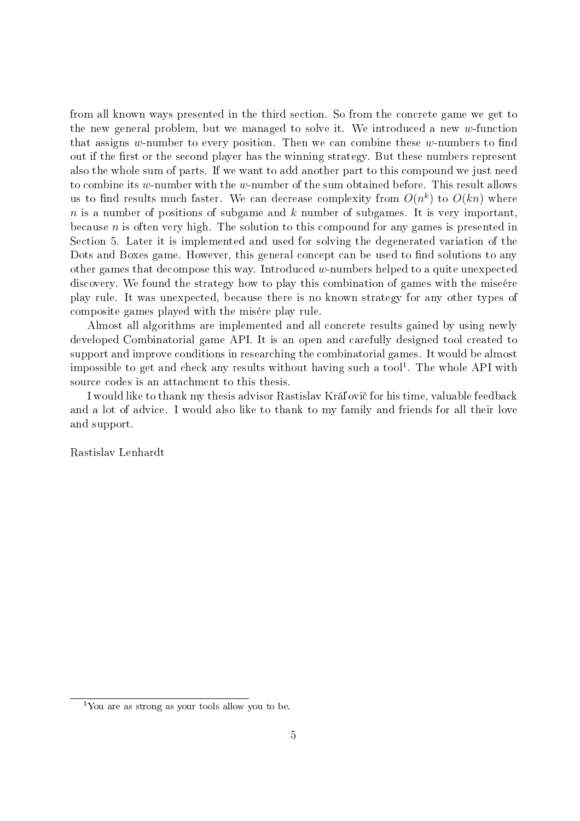from all known ways presented in the third section. So from the concrete game we get to the new general problem, but we managed to solve it. We introduced a new w-function that assigns w-number to every position. Then we can combine these  $w$ -numbers to find out if the first or the second player has the winning strategy. But these numbers represent also the whole sum of parts. If we want to add another part to this compound we just need to combine its w-number with the w-number of the sum obtained before. This result allows us to find results much faster. We can decrease complexity from  $O(n^k)$  to  $O(kn)$  where  $n$  is a number of positions of subgame and  $k$  number of subgames. It is very important, because  $n$  is often very high. The solution to this compound for any games is presented in Section 5. Later it is implemented and used for solving the degenerated variation of the Dots and Boxes game. However, this general concept can be used to find solutions to any other games that decompose this way. Introduced w-numbers helped to a quite unexpected discovery. We found the strategy how to play this combination of games with the miseére play rule. It was unexpected, because there is no known strategy for any other types of composite games played with the misére play rule.

Almost all algorithms are implemented and all concrete results gained by using newly developed Combinatorial game API. It is an open and carefully designed tool created to support and improve conditions in researching the combinatorial games. It would be almost impossible to get and check any results without having such a tool $^1$ . The whole API with source codes is an attachment to this thesis.

I would like to thank my thesis advisor Rastislav Krá©ovi£ for his time, valuable feedback and a lot of advice. I would also like to thank to my family and friends for all their love and support.

Rastislav Lenhardt

 $1$ You are as strong as your tools allow you to be.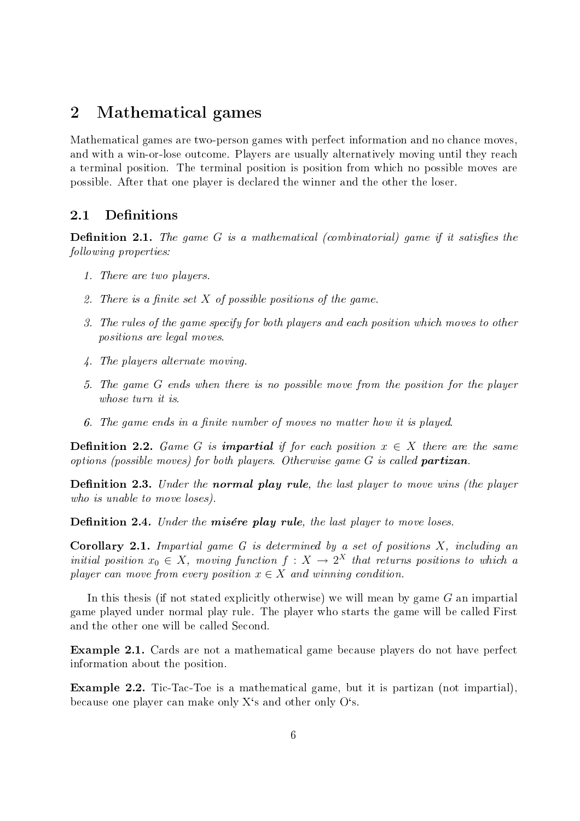### 2 Mathematical games

Mathematical games are two-person games with perfect information and no chance moves, and with a win-or-lose outcome. Players are usually alternatively moving until they reach a terminal position. The terminal position is position from which no possible moves are possible. After that one player is declared the winner and the other the loser.

#### 2.1 Definitions

**Definition 2.1.** The game G is a mathematical (combinatorial) game if it satisfies the following properties:

- 1. There are two players.
- 2. There is a finite set  $X$  of possible positions of the game.
- 3. The rules of the game specify for both players and each position which moves to other positions are legal moves.
- 4. The players alternate moving.
- 5. The game G ends when there is no possible move from the position for the player whose turn it is.
- 6. The game ends in a finite number of moves no matter how it is played.

**Definition 2.2.** Game G is **impartial** if for each position  $x \in X$  there are the same options (possible moves) for both players. Otherwise game  $G$  is called **partizan**.

**Definition 2.3.** Under the **normal play rule**, the last player to move wins (the player who is unable to move loses).

Definition 2.4. Under the misére play rule, the last player to move loses.

**Corollary 2.1.** Impartial game  $G$  is determined by a set of positions  $X$ , including an initial position  $x_0 \in X$ , moving function  $f: X \to 2^X$  that returns positions to which a player can move from every position  $x \in X$  and winning condition.

In this thesis (if not stated explicitly otherwise) we will mean by game  $G$  an impartial game played under normal play rule. The player who starts the game will be called First and the other one will be called Second.

Example 2.1. Cards are not a mathematical game because players do not have perfect information about the position.

Example 2.2. Tic-Tac-Toe is a mathematical game, but it is partizan (not impartial), because one player can make only X's and other only O's.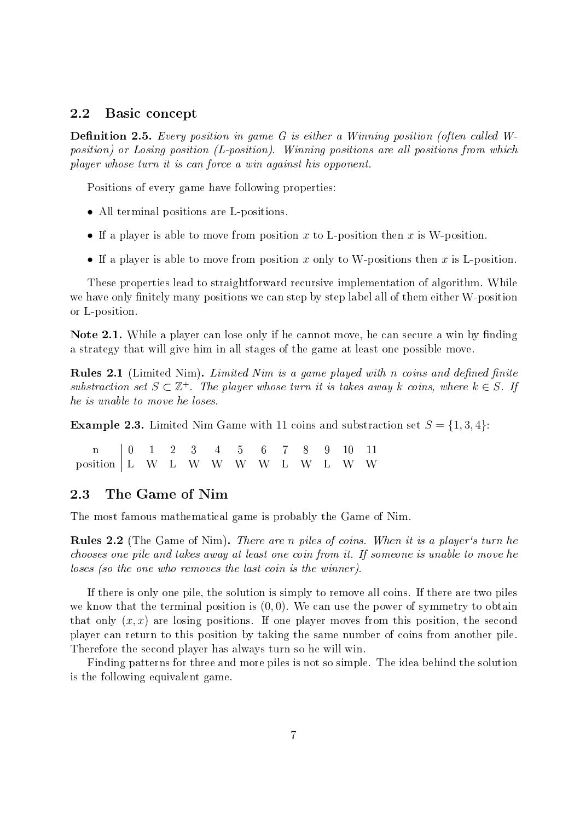#### 2.2 Basic concept

**Definition 2.5.** Every position in game G is either a Winning position (often called Wposition) or Losing position (L-position). Winning positions are all positions from which player whose turn it is can force a win against his opponent.

Positions of every game have following properties:

- All terminal positions are L-positions.
- If a player is able to move from position x to L-position then x is W-position.
- If a player is able to move from position x only to W-positions then x is L-position.

These properties lead to straightforward recursive implementation of algorithm. While we have only finitely many positions we can step by step label all of them either W-position or L-position.

Note 2.1. While a player can lose only if he cannot move, he can secure a win by finding a strategy that will give him in all stages of the game at least one possible move.

**Rules 2.1** (Limited Nim). Limited Nim is a game played with n coins and defined finite substraction set  $S \subset \mathbb{Z}^+$ . The player whose turn it is takes away k coins, where  $k \in S$ . If he is unable to move he loses.

**Example 2.3.** Limited Nim Game with 11 coins and substraction set  $S = \{1, 3, 4\}$ :

n 0 1 2 3 4 5 6 7 8 9 10 11 position L W L W W W W L W L W W

#### 2.3 The Game of Nim

The most famous mathematical game is probably the Game of Nim.

Rules 2.2 (The Game of Nim). There are n piles of coins. When it is a player's turn he chooses one pile and takes away at least one coin from it. If someone is unable to move he loses (so the one who removes the last coin is the winner).

If there is only one pile, the solution is simply to remove all coins. If there are two piles we know that the terminal position is  $(0, 0)$ . We can use the power of symmetry to obtain that only  $(x, x)$  are losing positions. If one player moves from this position, the second player can return to this position by taking the same number of coins from another pile. Therefore the second player has always turn so he will win.

Finding patterns for three and more piles is not so simple. The idea behind the solution is the following equivalent game.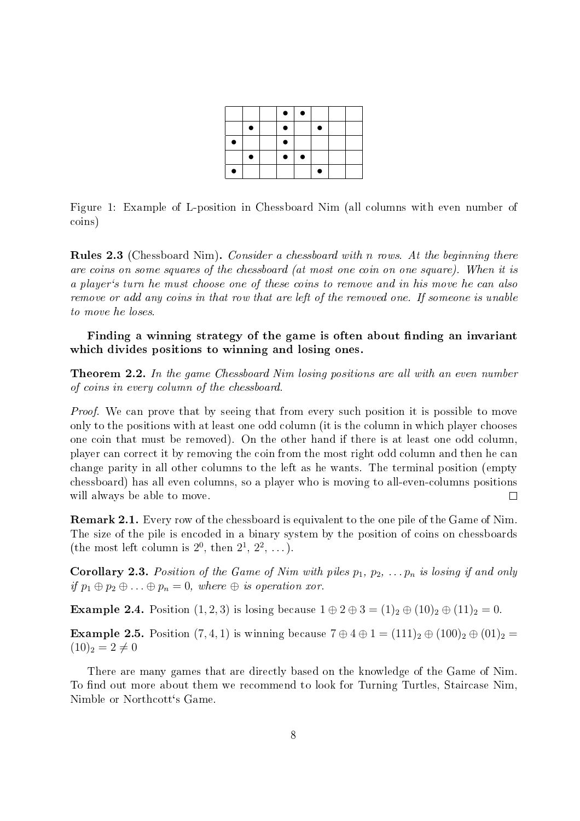|           |           | $\bullet$ | $\bullet$ |   |  |
|-----------|-----------|-----------|-----------|---|--|
|           |           | $\bullet$ |           | 0 |  |
| $\bullet$ |           | $\bullet$ |           |   |  |
|           | $\bullet$ | $\bullet$ |           |   |  |
| О         |           |           |           | c |  |

Figure 1: Example of L-position in Chessboard Nim (all columns with even number of coins)

Rules 2.3 (Chessboard Nim). Consider a chessboard with n rows. At the beginning there are coins on some squares of the chessboard (at most one coin on one square). When it is a player`s turn he must choose one of these coins to remove and in his move he can also remove or add any coins in that row that are left of the removed one. If someone is unable to move he loses.

Finding a winning strategy of the game is often about finding an invariant which divides positions to winning and losing ones.

**Theorem 2.2.** In the game Chessboard Nim losing positions are all with an even number of coins in every column of the chessboard.

*Proof.* We can prove that by seeing that from every such position it is possible to move only to the positions with at least one odd column (it is the column in which player chooses one coin that must be removed). On the other hand if there is at least one odd column, player can correct it by removing the coin from the most right odd column and then he can change parity in all other columns to the left as he wants. The terminal position (empty chessboard) has all even columns, so a player who is moving to all-even-columns positions will always be able to move.  $\Box$ 

Remark 2.1. Every row of the chessboard is equivalent to the one pile of the Game of Nim. The size of the pile is encoded in a binary system by the position of coins on chessboards (the most left column is  $2^0$ , then  $2^1$ ,  $2^2$ , ...).

**Corollary 2.3.** Position of the Game of Nim with piles  $p_1, p_2, \ldots, p_n$  is losing if and only if  $p_1 \oplus p_2 \oplus \ldots \oplus p_n = 0$ , where  $\oplus$  is operation xor.

**Example 2.4.** Position  $(1, 2, 3)$  is losing because  $1 \oplus 2 \oplus 3 = (1)_2 \oplus (10)_2 \oplus (11)_2 = 0$ .

**Example 2.5.** Position  $(7, 4, 1)$  is winning because  $7 \oplus 4 \oplus 1 = (111)_2 \oplus (100)_2 \oplus (01)_2 =$  $(10)_2 = 2 \neq 0$ 

There are many games that are directly based on the knowledge of the Game of Nim. To find out more about them we recommend to look for Turning Turtles, Staircase Nim, Nimble or Northcott`s Game.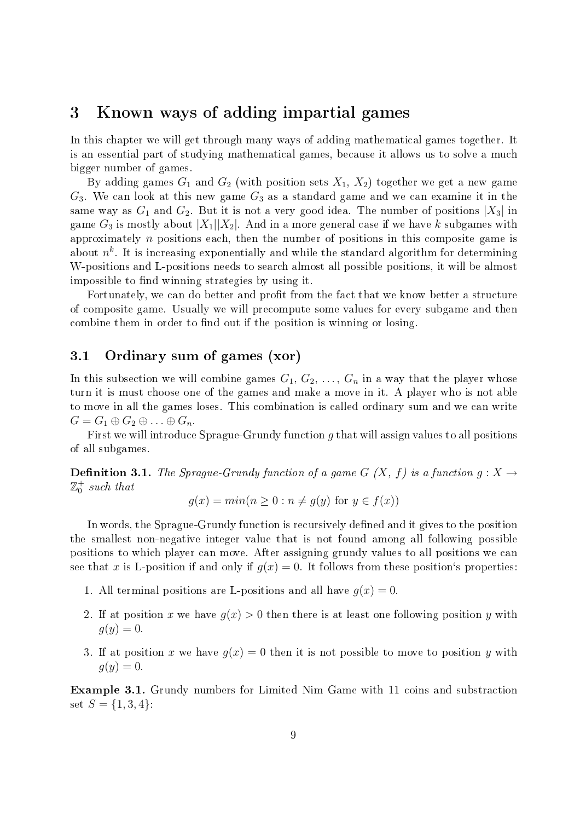### 3 Known ways of adding impartial games

In this chapter we will get through many ways of adding mathematical games together. It is an essential part of studying mathematical games, because it allows us to solve a much bigger number of games.

By adding games  $G_1$  and  $G_2$  (with position sets  $X_1, X_2$ ) together we get a new game  $G_3$ . We can look at this new game  $G_3$  as a standard game and we can examine it in the same way as  $G_1$  and  $G_2$ . But it is not a very good idea. The number of positions  $|X_3|$  in game  $G_3$  is mostly about  $|X_1||X_2|$ . And in a more general case if we have k subgames with approximately  $n$  positions each, then the number of positions in this composite game is about  $n^k$ . It is increasing exponentially and while the standard algorithm for determining W-positions and L-positions needs to search almost all possible positions, it will be almost impossible to find winning strategies by using it.

Fortunately, we can do better and profit from the fact that we know better a structure of composite game. Usually we will precompute some values for every subgame and then combine them in order to find out if the position is winning or losing.

#### 3.1 Ordinary sum of games (xor)

In this subsection we will combine games  $G_1, G_2, \ldots, G_n$  in a way that the player whose turn it is must choose one of the games and make a move in it. A player who is not able to move in all the games loses. This combination is called ordinary sum and we can write  $G = G_1 \oplus G_2 \oplus \ldots \oplus G_n$ .

First we will introduce Sprague-Grundy function  $q$  that will assign values to all positions of all subgames.

**Definition 3.1.** The Sprague-Grundy function of a game G  $(X, f)$  is a function  $g: X \rightarrow Y$  $\mathbb{Z}_0^+$  such that

$$
g(x) = min(n \ge 0 : n \ne g(y) \text{ for } y \in f(x))
$$

In words, the Sprague-Grundy function is recursively defined and it gives to the position the smallest non-negative integer value that is not found among all following possible positions to which player can move. After assigning grundy values to all positions we can see that x is L-position if and only if  $g(x) = 0$ . It follows from these position's properties:

- 1. All terminal positions are L-positions and all have  $q(x) = 0$ .
- 2. If at position x we have  $g(x) > 0$  then there is at least one following position y with  $q(y) = 0.$
- 3. If at position x we have  $g(x) = 0$  then it is not possible to move to position y with  $q(y)=0.$

Example 3.1. Grundy numbers for Limited Nim Game with 11 coins and substraction set  $S = \{1, 3, 4\}$ :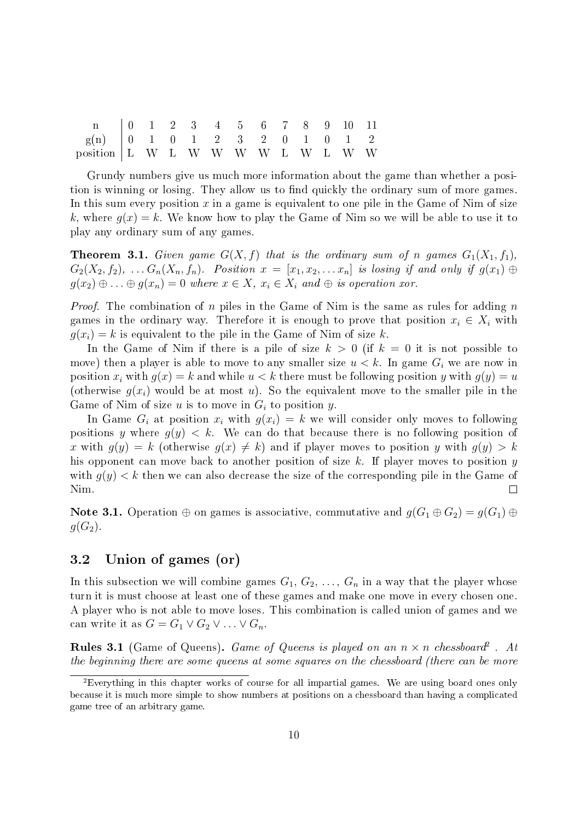| n 0 1 2 3 4 5 6 7 8 9 10 11                            |  |  |  |  |  |  |
|--------------------------------------------------------|--|--|--|--|--|--|
| $g(n)$   0   1   0   1   2   2   3   2   0   0   1   2 |  |  |  |  |  |  |
| position   L W L W W W W L W L W W                     |  |  |  |  |  |  |

Grundy numbers give us much more information about the game than whether a position is winning or losing. They allow us to find quickly the ordinary sum of more games. In this sum every position  $x$  in a game is equivalent to one pile in the Game of Nim of size k, where  $q(x) = k$ . We know how to play the Game of Nim so we will be able to use it to play any ordinary sum of any games.

**Theorem 3.1.** Given game  $G(X, f)$  that is the ordinary sum of n games  $G_1(X_1, f_1)$ ,  $G_2(X_2, f_2), \ldots, G_n(X_n, f_n)$ . Position  $x = [x_1, x_2, \ldots, x_n]$  is losing if and only if  $g(x_1) \oplus$  $g(x_2) \oplus \ldots \oplus g(x_n) = 0$  where  $x \in X$ ,  $x_i \in X_i$  and  $\oplus$  is operation xor.

*Proof.* The combination of n piles in the Game of Nim is the same as rules for adding  $n$ games in the ordinary way. Therefore it is enough to prove that position  $x_i \in X_i$  with  $g(x_i) = k$  is equivalent to the pile in the Game of Nim of size k.

In the Game of Nim if there is a pile of size  $k > 0$  (if  $k = 0$  it is not possible to move) then a player is able to move to any smaller size  $u < k$ . In game  $G_i$  we are now in position  $x_i$  with  $g(x) = k$  and while  $u < k$  there must be following position y with  $g(y) = u$ (otherwise  $q(x_i)$  would be at most u). So the equivalent move to the smaller pile in the Game of Nim of size u is to move in  $G_i$  to position y.

In Game  $G_i$  at position  $x_i$  with  $g(x_i) = k$  we will consider only moves to following positions y where  $q(y) < k$ . We can do that because there is no following position of x with  $g(y) = k$  (otherwise  $g(x) \neq k$ ) and if player moves to position y with  $g(y) > k$ his opponent can move back to another position of size  $k$ . If player moves to position  $y$ with  $q(y) < k$  then we can also decrease the size of the corresponding pile in the Game of Nim.  $\Box$ 

Note 3.1. Operation  $\oplus$  on games is associative, commutative and  $g(G_1 \oplus G_2) = g(G_1) \oplus$  $g(G_2)$ .

#### 3.2 Union of games (or)

In this subsection we will combine games  $G_1, G_2, \ldots, G_n$  in a way that the player whose turn it is must choose at least one of these games and make one move in every chosen one. A player who is not able to move loses. This combination is called union of games and we can write it as  $G = G_1 \vee G_2 \vee \ldots \vee G_n$ .

**Rules 3.1** (Game of Queens). *Game of Queens is played on an n*  $\times$  *n chessboard*<sup>2</sup> . At the beginning there are some queens at some squares on the chessboard (there can be more

<sup>&</sup>lt;sup>2</sup>Everything in this chapter works of course for all impartial games. We are using board ones only because it is much more simple to show numbers at positions on a chessboard than having a complicated game tree of an arbitrary game.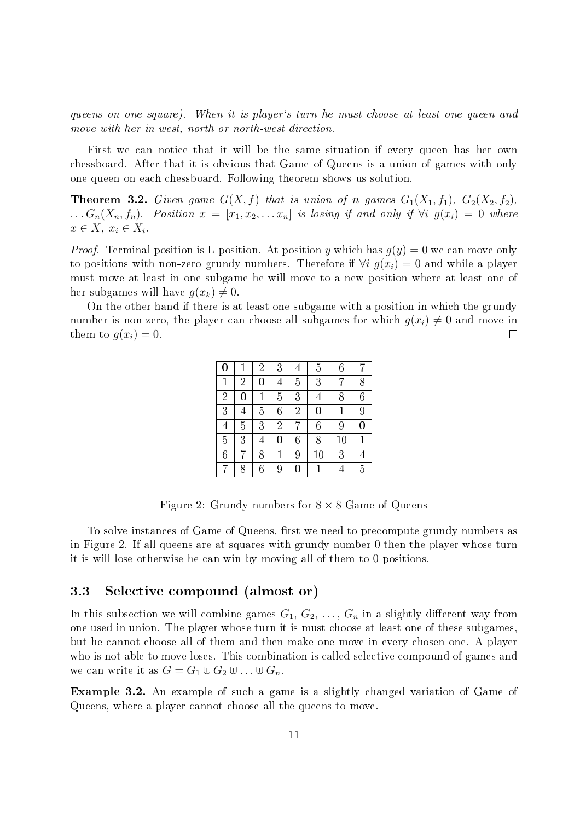queens on one square). When it is player's turn he must choose at least one queen and move with her in west, north or north-west direction.

First we can notice that it will be the same situation if every queen has her own chessboard. After that it is obvious that Game of Queens is a union of games with only one queen on each chessboard. Following theorem shows us solution.

**Theorem 3.2.** Given game  $G(X, f)$  that is union of n games  $G_1(X_1, f_1)$ ,  $G_2(X_2, f_2)$ ,  $\ldots G_n(X_n, f_n)$ . Position  $x = [x_1, x_2, \ldots x_n]$  is losing if and only if  $\forall i \ g(x_i) = 0$  where  $x \in X$ ,  $x_i \in X_i$ .

*Proof.* Terminal position is L-position. At position y which has  $g(y) = 0$  we can move only to positions with non-zero grundy numbers. Therefore if  $\forall i \, q(x_i) = 0$  and while a player must move at least in one subgame he will move to a new position where at least one of her subgames will have  $g(x_k) \neq 0$ .

On the other hand if there is at least one subgame with a position in which the grundy number is non-zero, the player can choose all subgames for which  $g(x_i) \neq 0$  and move in them to  $g(x_i) = 0$ .  $\Box$ 

| $\bf{0}$         |                | $\overline{2}$ | 3              | $\overline{4}$ | 5        | 6  | 7              |
|------------------|----------------|----------------|----------------|----------------|----------|----|----------------|
| $\mathbf 1$      | $\overline{2}$ | $\bf{0}$       | 4              | 5              | 3        | 7  | 8              |
| $\overline{2}$   | 0              | $\mathbf{1}$   | $\overline{5}$ | 3              | 4        | 8  | 6              |
| 3                | 4              | 5              | 6              | $\overline{2}$ | $\bf{0}$ | 1  | 9              |
| 4                | 5              | 3              | $\overline{2}$ | 7              | 6        | 9  | $\bf{0}$       |
| $\overline{5}$   | 3              | $\overline{4}$ | 0              | 6              | 8        | 10 |                |
| $\boldsymbol{6}$ | 7              | 8              | 1              | 9              | 10       | 3  | $\overline{4}$ |
| 7                | 8              | 6              | 9              | 0              |          |    | 5              |

Figure 2: Grundy numbers for  $8 \times 8$  Game of Queens

To solve instances of Game of Queens, first we need to precompute grundy numbers as in Figure 2. If all queens are at squares with grundy number 0 then the player whose turn it is will lose otherwise he can win by moving all of them to 0 positions.

#### 3.3 Selective compound (almost or)

In this subsection we will combine games  $G_1, G_2, \ldots, G_n$  in a slightly different way from one used in union. The player whose turn it is must choose at least one of these subgames, but he cannot choose all of them and then make one move in every chosen one. A player who is not able to move loses. This combination is called selective compound of games and we can write it as  $G = G_1 \oplus G_2 \oplus \ldots \oplus G_n$ .

Example 3.2. An example of such a game is a slightly changed variation of Game of Queens, where a player cannot choose all the queens to move.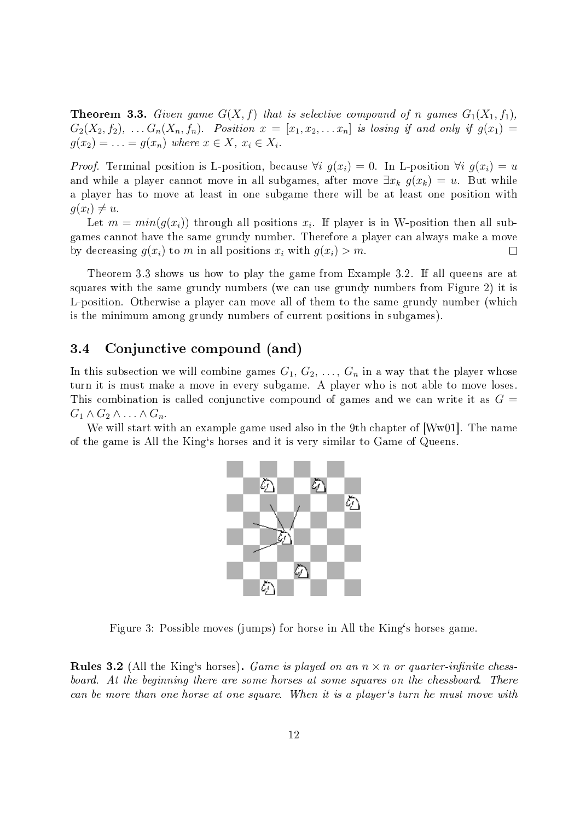**Theorem 3.3.** Given game  $G(X, f)$  that is selective compound of n games  $G_1(X_1, f_1)$ ,  $G_2(X_2, f_2), \ldots, G_n(X_n, f_n)$ . Position  $x = [x_1, x_2, \ldots x_n]$  is losing if and only if  $g(x_1) =$  $g(x_2) = \ldots = g(x_n)$  where  $x \in X$ ,  $x_i \in X_i$ .

*Proof.* Terminal position is L-position, because  $\forall i$   $g(x_i) = 0$ . In L-position  $\forall i$   $g(x_i) = u$ and while a player cannot move in all subgames, after move  $\exists x_k g(x_k) = u$ . But while a player has to move at least in one subgame there will be at least one position with  $q(x_l) \neq u$ .

Let  $m = min(g(x_i))$  through all positions  $x_i$ . If player is in W-position then all subgames cannot have the same grundy number. Therefore a player can always make a move by decreasing  $g(x_i)$  to m in all positions  $x_i$  with  $g(x_i) > m$ .  $\Box$ 

Theorem 3.3 shows us how to play the game from Example 3.2. If all queens are at squares with the same grundy numbers (we can use grundy numbers from Figure 2) it is L-position. Otherwise a player can move all of them to the same grundy number (which is the minimum among grundy numbers of current positions in subgames).

#### 3.4 Conjunctive compound (and)

In this subsection we will combine games  $G_1, G_2, \ldots, G_n$  in a way that the player whose turn it is must make a move in every subgame. A player who is not able to move loses. This combination is called conjunctive compound of games and we can write it as  $G =$  $G_1 \wedge G_2 \wedge \ldots \wedge G_n$ .

We will start with an example game used also in the 9th chapter of [Ww01]. The name of the game is All the King`s horses and it is very similar to Game of Queens.



Figure 3: Possible moves (jumps) for horse in All the King`s horses game.

**Rules 3.2** (All the King's horses). Game is played on an  $n \times n$  or quarter-infinite chessboard. At the beginning there are some horses at some squares on the chessboard. There can be more than one horse at one square. When it is a player`s turn he must move with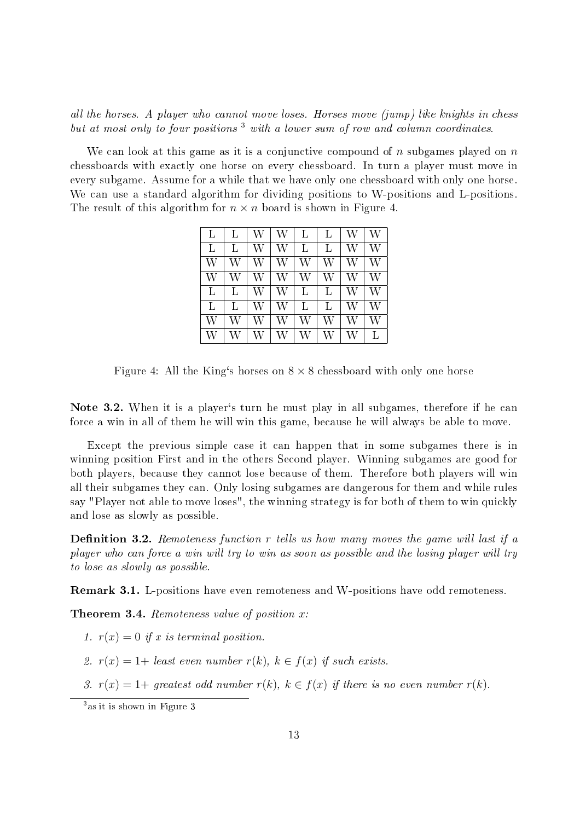all the horses. A player who cannot move loses. Horses move (jump) like knights in chess but at most only to four positions<sup>3</sup> with a lower sum of row and column coordinates.

We can look at this game as it is a conjunctive compound of  $n$  subgames played on  $n$ chessboards with exactly one horse on every chessboard. In turn a player must move in every subgame. Assume for a while that we have only one chessboard with only one horse. We can use a standard algorithm for dividing positions to W-positions and L-positions. The result of this algorithm for  $n \times n$  board is shown in Figure 4.

| L | L | W | W | L | L | W | W |
|---|---|---|---|---|---|---|---|
| L | L | W | W | L | L | W | W |
| W | W | W | W | W | W | W | W |
| W | W | W | W | W | W | W | W |
| L | L | W | W | L | L | W | W |
| L | L | W | W | L | L | W | W |
| W | W | W | W | W | W | W | W |
| W | W | W | W | W | W | W | L |

Figure 4: All the King's horses on  $8 \times 8$  chessboard with only one horse

Note 3.2. When it is a player's turn he must play in all subgames, therefore if he can force a win in all of them he will win this game, because he will always be able to move.

Except the previous simple case it can happen that in some subgames there is in winning position First and in the others Second player. Winning subgames are good for both players, because they cannot lose because of them. Therefore both players will win all their subgames they can. Only losing subgames are dangerous for them and while rules say "Player not able to move loses", the winning strategy is for both of them to win quickly and lose as slowly as possible.

**Definition 3.2.** Remoteness function  $r$  tells us how many moves the game will last if a player who can force a win will try to win as soon as possible and the losing player will try to lose as slowly as possible.

Remark 3.1. L-positions have even remoteness and W-positions have odd remoteness.

**Theorem 3.4.** Remoteness value of position  $x$ :

- 1.  $r(x) = 0$  if x is terminal position.
- 2.  $r(x) = 1 +$  least even number  $r(k)$ ,  $k \in f(x)$  if such exists.
- 3.  $r(x) = 1$ + greatest odd number  $r(k)$ ,  $k \in f(x)$  if there is no even number  $r(k)$ .

<sup>3</sup>as it is shown in Figure 3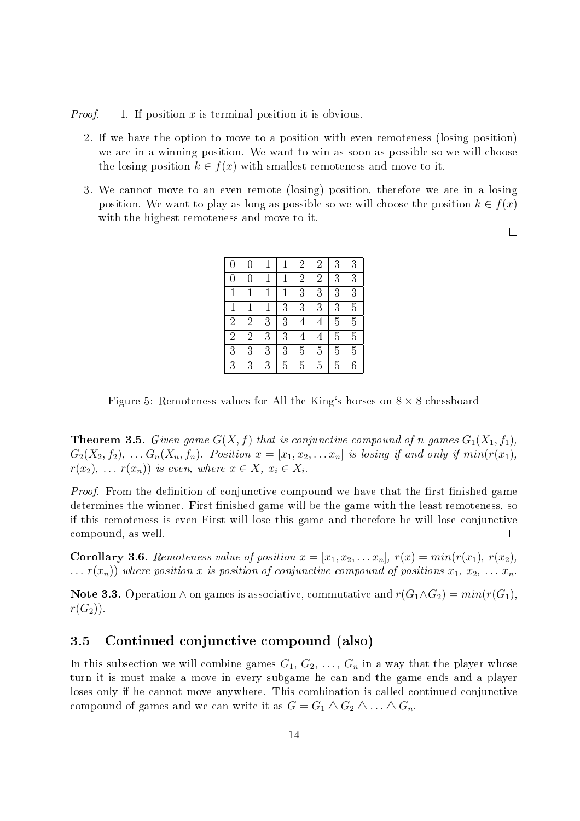*Proof.* 1. If position x is terminal position it is obvious.

- 2. If we have the option to move to a position with even remoteness (losing position) we are in a winning position. We want to win as soon as possible so we will choose the losing position  $k \in f(x)$  with smallest remoteness and move to it.
- 3. We cannot move to an even remote (losing) position, therefore we are in a losing position. We want to play as long as possible so we will choose the position  $k \in f(x)$ with the highest remoteness and move to it.

 $\Box$ 

| $\overline{0}$ | $\overline{0}$ | $\mathbf 1$  | $\mathbf 1$  | $\overline{2}$ | $\overline{2}$ | 3              | 3              |
|----------------|----------------|--------------|--------------|----------------|----------------|----------------|----------------|
| $\overline{0}$ | $\overline{0}$ | $\mathbf 1$  | $\mathbf{1}$ | $\overline{2}$ | $\overline{2}$ | 3              | 3              |
| $\mathbf{1}$   | $\mathbf{1}$   | $\mathbf 1$  | $\mathbf{1}$ | $\overline{3}$ | 3              | 3              | $\overline{3}$ |
| $\mathbf{1}$   | $\mathbf 1$    | $\mathbf{1}$ | 3            | 3              | 3              | 3              | $\overline{5}$ |
| $\overline{2}$ | $\overline{2}$ | 3            | 3            | $\overline{4}$ | $\overline{4}$ | 5              | $\overline{5}$ |
| $\overline{2}$ | $\overline{2}$ | 3            | 3            | $\overline{4}$ | $\overline{4}$ | $\overline{5}$ | $\overline{5}$ |
| 3              | 3              | 3            | 3            | $\overline{5}$ | $\overline{5}$ | $\overline{5}$ | $\overline{5}$ |
| $\overline{3}$ | 3              | 3            | 5            | 5              | 5              | 5              | 6              |

Figure 5: Remoteness values for All the King's horses on  $8 \times 8$  chessboard

**Theorem 3.5.** Given game  $G(X, f)$  that is conjunctive compound of n games  $G_1(X_1, f_1)$ ,  $G_2(X_2, f_2), \ldots, G_n(X_n, f_n)$ . Position  $x = [x_1, x_2, \ldots, x_n]$  is losing if and only if  $min(r(x_1),$  $r(x_2), \ldots r(x_n)$  is even, where  $x \in X$ ,  $x_i \in X_i$ .

*Proof.* From the definition of conjunctive compound we have that the first finished game determines the winner. First finished game will be the game with the least remoteness, so if this remoteness is even First will lose this game and therefore he will lose conjunctive compound, as well.  $\Box$ 

**Corollary 3.6.** Remoteness value of position  $x = [x_1, x_2, \ldots, x_n]$ ,  $r(x) = min(r(x_1), r(x_2),$  $\dots$  r(x<sub>n</sub>)) where position x is position of conjunctive compound of positions  $x_1, x_2, \dots x_n$ .

Note 3.3. Operation ∧ on games is associative, commutative and  $r(G_1 \wedge G_2) = min(r(G_1))$ .  $r(G_2)$ .

#### 3.5 Continued conjunctive compound (also)

In this subsection we will combine games  $G_1, G_2, \ldots, G_n$  in a way that the player whose turn it is must make a move in every subgame he can and the game ends and a player loses only if he cannot move anywhere. This combination is called continued conjunctive compound of games and we can write it as  $G = G_1 \triangle G_2 \triangle \dots \triangle G_n$ .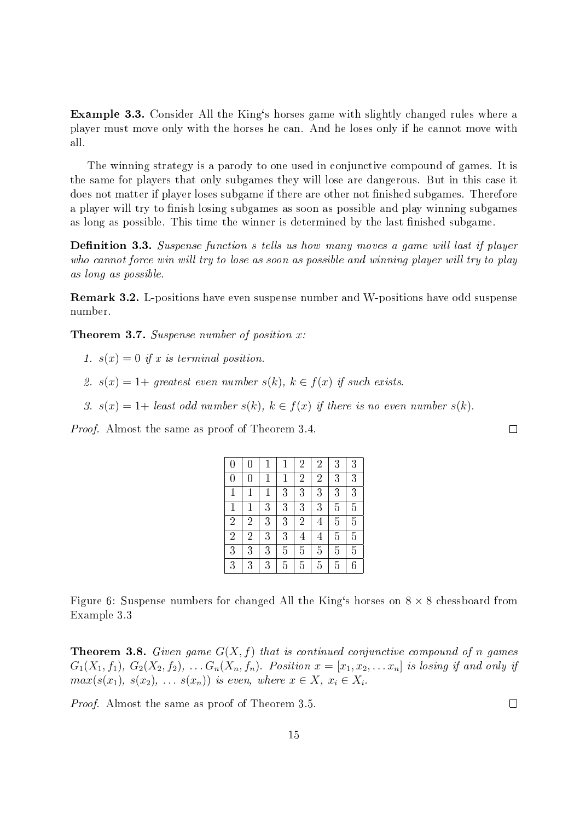Example 3.3. Consider All the King's horses game with slightly changed rules where a player must move only with the horses he can. And he loses only if he cannot move with all.

The winning strategy is a parody to one used in conjunctive compound of games. It is the same for players that only subgames they will lose are dangerous. But in this case it does not matter if player loses subgame if there are other not finished subgames. Therefore a player will try to finish losing subgames as soon as possible and play winning subgames as long as possible. This time the winner is determined by the last finished subgame.

**Definition 3.3.** Suspense function s tells us how many moves a game will last if player who cannot force win will try to lose as soon as possible and winning player will try to play as long as possible.

Remark 3.2. L-positions have even suspense number and W-positions have odd suspense number.

**Theorem 3.7.** Suspense number of position  $x$ :

1.  $s(x) = 0$  if x is terminal position.

- 2.  $s(x) = 1+ \text{ greatest even number } s(k), k \in f(x) \text{ if such exists.}$
- 3.  $s(x) = 1 +$  least odd number  $s(k)$ ,  $k \in f(x)$  if there is no even number  $s(k)$ .

Proof. Almost the same as proof of Theorem 3.4.

| $\overline{0}$ | $\overline{0}$ |              | $\mathbf{1}$   | $\overline{2}$ | $\overline{2}$ | 3              | 3              |
|----------------|----------------|--------------|----------------|----------------|----------------|----------------|----------------|
| $\overline{0}$ | $\overline{0}$ | $\mathbf{1}$ | $\mathbf{1}$   | $\overline{2}$ | $\overline{2}$ | 3              | $\overline{3}$ |
| $\mathbf{1}$   | $\mathbf{1}$   | $\mathbf 1$  | 3              | 3              | 3              | 3              | $\overline{3}$ |
| $\mathbf{1}$   | $\mathbf 1$    | 3            | $\overline{3}$ | 3              | 3              | $\overline{5}$ | $\overline{5}$ |
| $\overline{2}$ | $\overline{2}$ | 3            | $\overline{3}$ | $\overline{2}$ | $\overline{4}$ | $\overline{5}$ | $\overline{5}$ |
| $\overline{2}$ | $\overline{2}$ | 3            | 3              | $\overline{4}$ | $\overline{4}$ | $\overline{5}$ | $\overline{5}$ |
| $\overline{3}$ | 3              | 3            | 5              | 5              | $\overline{5}$ | $\overline{5}$ | $\overline{5}$ |
| $\overline{3}$ | 3              | 3            | 5              | $\overline{5}$ | 5              | 5              | $\overline{6}$ |

Figure 6: Suspense numbers for changed All the King's horses on  $8 \times 8$  chessboard from Example 3.3

**Theorem 3.8.** Given game  $G(X, f)$  that is continued conjunctive compound of n games  $G_1(X_1, f_1), G_2(X_2, f_2), \ldots, G_n(X_n, f_n)$ . Position  $x = [x_1, x_2, \ldots, x_n]$  is losing if and only if  $max(s(x_1), s(x_2), \ldots s(x_n))$  is even, where  $x \in X$ ,  $x_i \in X_i$ .

Proof. Almost the same as proof of Theorem 3.5.

 $\Box$ 

 $\Box$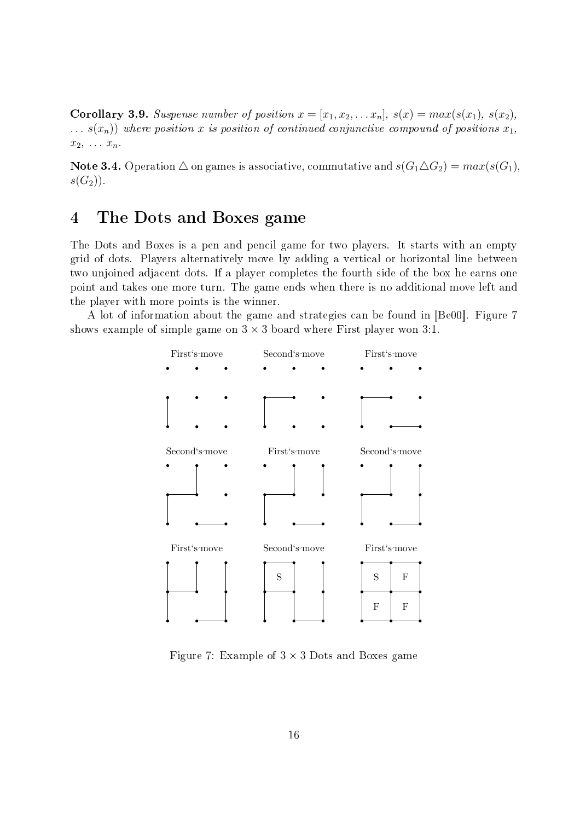**Corollary 3.9.** Suspense number of position  $x = [x_1, x_2, \ldots x_n]$ ,  $s(x) = max(s(x_1), s(x_2)$ ,  $\ldots$  s(x<sub>n</sub>)) where position x is position of continued conjunctive compound of positions  $x_1$ ,  $x_2, \ldots x_n$ .

Note 3.4. Operation  $\triangle$  on games is associative, commutative and  $s(G_1 \triangle G_2) = max(s(G_1),$  $s(G_2)$ ).

### 4 The Dots and Boxes game

The Dots and Boxes is a pen and pencil game for two players. It starts with an empty grid of dots. Players alternatively move by adding a vertical or horizontal line between two unjoined adjacent dots. If a player completes the fourth side of the box he earns one point and takes one more turn. The game ends when there is no additional move left and the player with more points is the winner.

A lot of information about the game and strategies can be found in [Be00]. Figure 7 shows example of simple game on  $3 \times 3$  board where First player won 3:1.



Figure 7: Example of  $3 \times 3$  Dots and Boxes game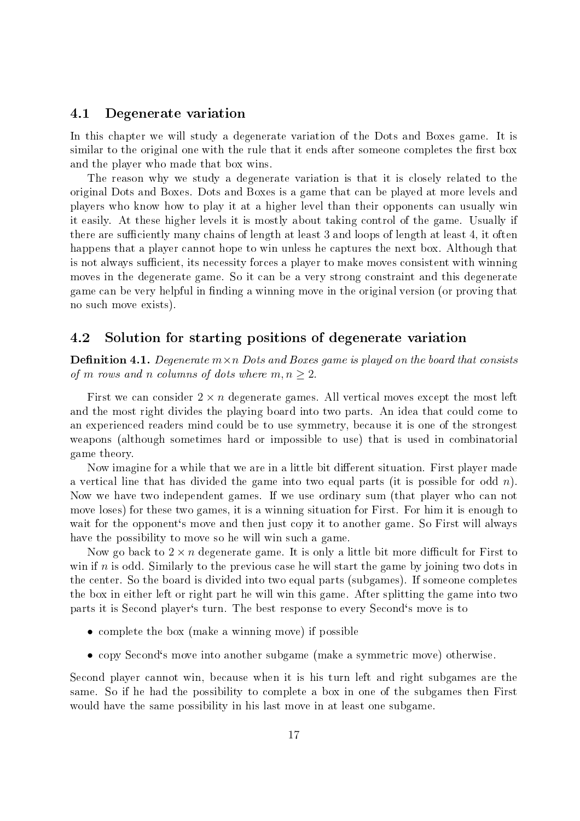#### 4.1 Degenerate variation

In this chapter we will study a degenerate variation of the Dots and Boxes game. It is similar to the original one with the rule that it ends after someone completes the first box and the player who made that box wins.

The reason why we study a degenerate variation is that it is closely related to the original Dots and Boxes. Dots and Boxes is a game that can be played at more levels and players who know how to play it at a higher level than their opponents can usually win it easily. At these higher levels it is mostly about taking control of the game. Usually if there are sufficiently many chains of length at least 3 and loops of length at least 4, it often happens that a player cannot hope to win unless he captures the next box. Although that is not always sufficient, its necessity forces a player to make moves consistent with winning moves in the degenerate game. So it can be a very strong constraint and this degenerate game can be very helpful in finding a winning move in the original version (or proving that no such move exists).

#### 4.2 Solution for starting positions of degenerate variation

**Definition 4.1.** Degenerate  $m \times n$  Dots and Boxes game is played on the board that consists of m rows and n columns of dots where  $m, n \geq 2$ .

First we can consider  $2 \times n$  degenerate games. All vertical moves except the most left and the most right divides the playing board into two parts. An idea that could come to an experienced readers mind could be to use symmetry, because it is one of the strongest weapons (although sometimes hard or impossible to use) that is used in combinatorial game theory.

Now imagine for a while that we are in a little bit different situation. First player made a vertical line that has divided the game into two equal parts (it is possible for odd n). Now we have two independent games. If we use ordinary sum (that player who can not move loses) for these two games, it is a winning situation for First. For him it is enough to wait for the opponent's move and then just copy it to another game. So First will always have the possibility to move so he will win such a game.

Now go back to  $2 \times n$  degenerate game. It is only a little bit more difficult for First to win if n is odd. Similarly to the previous case he will start the game by joining two dots in the center. So the board is divided into two equal parts (subgames). If someone completes the box in either left or right part he will win this game. After splitting the game into two parts it is Second player`s turn. The best response to every Second`s move is to

- complete the box (make a winning move) if possible
- copy Second`s move into another subgame (make a symmetric move) otherwise.

Second player cannot win, because when it is his turn left and right subgames are the same. So if he had the possibility to complete a box in one of the subgames then First would have the same possibility in his last move in at least one subgame.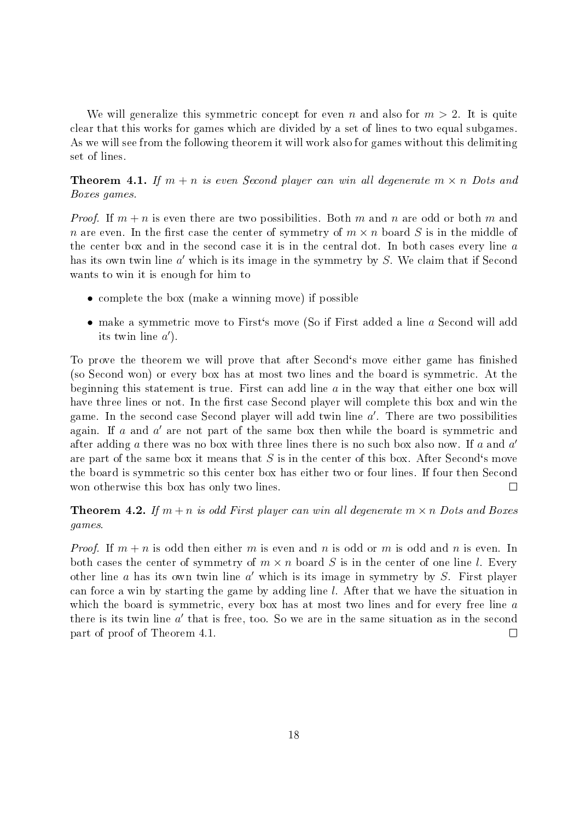We will generalize this symmetric concept for even n and also for  $m > 2$ . It is quite clear that this works for games which are divided by a set of lines to two equal subgames. As we will see from the following theorem it will work also for games without this delimiting set of lines.

**Theorem 4.1.** If  $m + n$  is even Second player can win all degenerate  $m \times n$  Dots and Boxes games.

*Proof.* If  $m + n$  is even there are two possibilities. Both m and n are odd or both m and n are even. In the first case the center of symmetry of  $m \times n$  board S is in the middle of the center box and in the second case it is in the central dot. In both cases every line a has its own twin line  $a'$  which is its image in the symmetry by  $S$ . We claim that if Second wants to win it is enough for him to

- complete the box (make a winning move) if possible
- make a symmetric move to First's move (So if First added a line a Second will add its twin line  $a'$ ).

To prove the theorem we will prove that after Second's move either game has finished (so Second won) or every box has at most two lines and the board is symmetric. At the beginning this statement is true. First can add line  $a$  in the way that either one box will have three lines or not. In the first case Second player will complete this box and win the game. In the second case Second player will add twin line  $a'$ . There are two possibilities again. If  $a$  and  $a'$  are not part of the same box then while the board is symmetric and after adding  $a$  there was no box with three lines there is no such box also now. If  $a$  and  $a'$ are part of the same box it means that  $S$  is in the center of this box. After Second's move the board is symmetric so this center box has either two or four lines. If four then Second won otherwise this box has only two lines.  $\Box$ 

**Theorem 4.2.** If  $m + n$  is odd First player can win all degenerate  $m \times n$  Dots and Boxes games.

*Proof.* If  $m + n$  is odd then either m is even and n is odd or m is odd and n is even. In both cases the center of symmetry of  $m \times n$  board S is in the center of one line l. Every other line  $a$  has its own twin line  $a'$  which is its image in symmetry by  $S$ . First player can force a win by starting the game by adding line l. After that we have the situation in which the board is symmetric, every box has at most two lines and for every free line a there is its twin line  $a'$  that is free, too. So we are in the same situation as in the second part of proof of Theorem 4.1.  $\Box$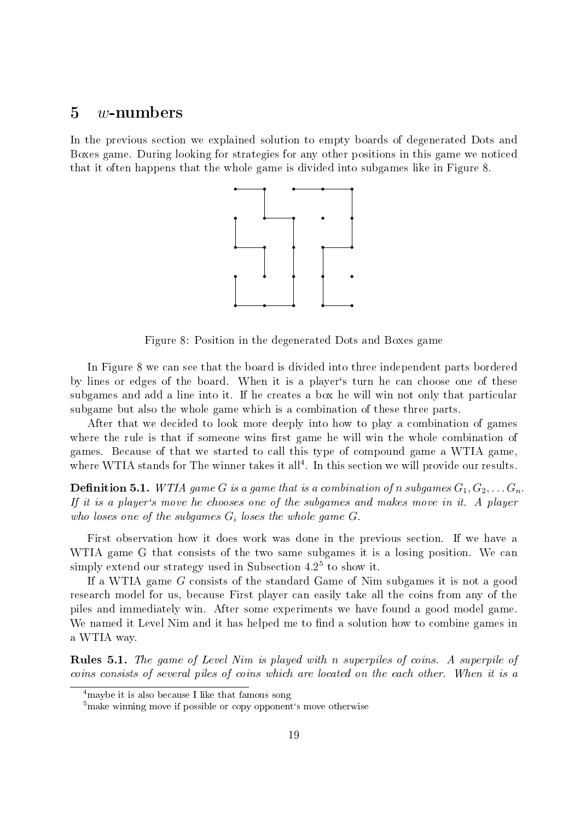### $5 \quad w$ -numbers

In the previous section we explained solution to empty boards of degenerated Dots and Boxes game. During looking for strategies for any other positions in this game we noticed that it often happens that the whole game is divided into subgames like in Figure 8.



Figure 8: Position in the degenerated Dots and Boxes game

In Figure 8 we can see that the board is divided into three independent parts bordered by lines or edges of the board. When it is a player`s turn he can choose one of these subgames and add a line into it. If he creates a box he will win not only that particular subgame but also the whole game which is a combination of these three parts.

After that we decided to look more deeply into how to play a combination of games where the rule is that if someone wins first game he will win the whole combination of games. Because of that we started to call this type of compound game a WTIA game, where WTIA stands for The winner takes it all<sup>4</sup>. In this section we will provide our results.

**Definition 5.1.** WTIA game G is a game that is a combination of n subgames  $G_1, G_2, \ldots, G_n$ . If it is a player's move he chooses one of the subgames and makes move in it. A player who loses one of the subgames  $G_i$  loses the whole game  $G$ .

First observation how it does work was done in the previous section. If we have a WTIA game G that consists of the two same subgames it is a losing position. We can simply extend our strategy used in Subsection 4.2 $5$  to show it.

If a WTIA game G consists of the standard Game of Nim subgames it is not a good research model for us, because First player can easily take all the coins from any of the piles and immediately win. After some experiments we have found a good model game. We named it Level Nim and it has helped me to find a solution how to combine games in a WTIA way.

Rules 5.1. The game of Level Nim is played with n superpiles of coins. A superpile of coins consists of several piles of coins which are located on the each other. When it is a

<sup>&</sup>lt;sup>4</sup>maybe it is also because I like that famous song

 $5$ make winning move if possible or copy opponent's move otherwise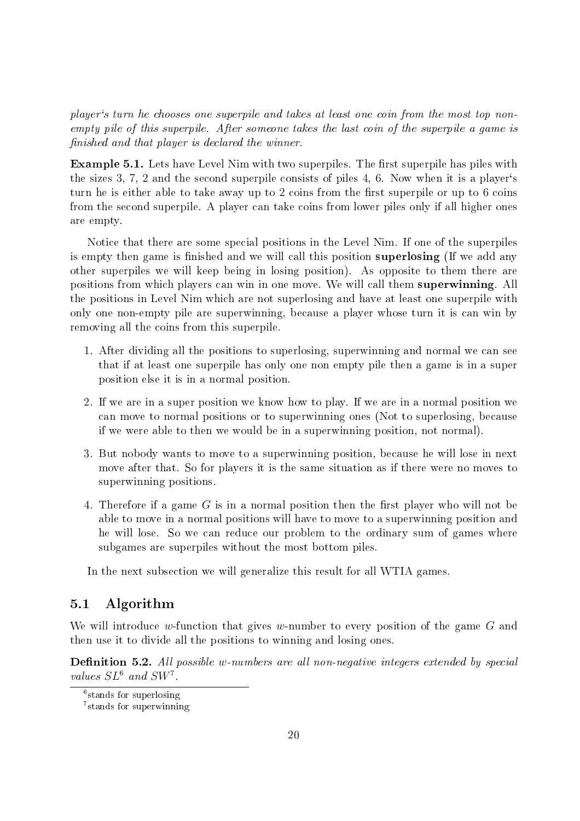player`s turn he chooses one superpile and takes at least one coin from the most top nonempty pile of this superpile. After someone takes the last coin of the superpile a game is nished and that player is declared the winner.

Example 5.1. Lets have Level Nim with two superpiles. The first superpile has piles with the sizes 3, 7, 2 and the second superpile consists of piles 4, 6. Now when it is a player's turn he is either able to take away up to 2 coins from the first superpile or up to 6 coins from the second superpile. A player can take coins from lower piles only if all higher ones are empty.

Notice that there are some special positions in the Level Nim. If one of the superpiles is empty then game is finished and we will call this position **superlosing** (If we add any other superpiles we will keep being in losing position). As opposite to them there are positions from which players can win in one move. We will call them superwinning. All the positions in Level Nim which are not superlosing and have at least one superpile with only one non-empty pile are superwinning, because a player whose turn it is can win by removing all the coins from this superpile.

- 1. After dividing all the positions to superlosing, superwinning and normal we can see that if at least one superpile has only one non empty pile then a game is in a super position else it is in a normal position.
- 2. If we are in a super position we know how to play. If we are in a normal position we can move to normal positions or to superwinning ones (Not to superlosing, because if we were able to then we would be in a superwinning position, not normal).
- 3. But nobody wants to move to a superwinning position, because he will lose in next move after that. So for players it is the same situation as if there were no moves to superwinning positions.
- 4. Therefore if a game  $G$  is in a normal position then the first player who will not be able to move in a normal positions will have to move to a superwinning position and he will lose. So we can reduce our problem to the ordinary sum of games where subgames are superpiles without the most bottom piles.

In the next subsection we will generalize this result for all WTIA games.

#### 5.1 Algorithm

We will introduce w-function that gives w-number to every position of the game G and then use it to divide all the positions to winning and losing ones.

**Definition 5.2.** All possible w-numbers are all non-negative integers extended by special values  $SL^6$  and  $SW^7$ .

<sup>6</sup> stands for superlosing

<sup>7</sup> stands for superwinning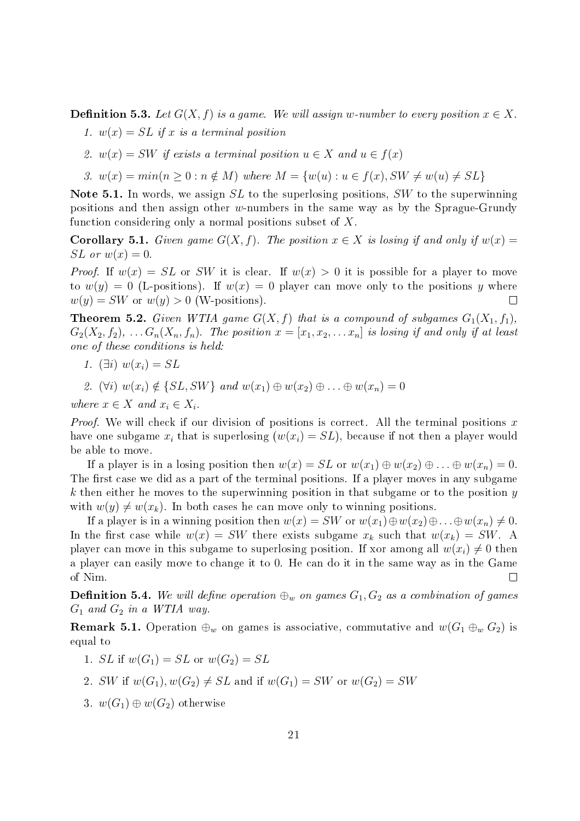**Definition 5.3.** Let  $G(X, f)$  is a game. We will assign w-number to every position  $x \in X$ .

- 1.  $w(x) = SL$  if x is a terminal position
- 2.  $w(x) = SW$  if exists a terminal position  $u \in X$  and  $u \in f(x)$
- 3.  $w(x) = min(n > 0 : n \notin M)$  where  $M = \{w(u) : u \in f(x), SW \neq w(u) \neq SL\}$

Note 5.1. In words, we assign  $SL$  to the superlosing positions,  $SW$  to the superwinning positions and then assign other w-numbers in the same way as by the Sprague-Grundy function considering only a normal positions subset of X.

**Corollary 5.1.** Given game  $G(X, f)$ . The position  $x \in X$  is losing if and only if  $w(x) =$  $SL$  or  $w(x) = 0$ .

*Proof.* If  $w(x) = SL$  or SW it is clear. If  $w(x) > 0$  it is possible for a player to move to  $w(y) = 0$  (L-positions). If  $w(x) = 0$  player can move only to the positions y where  $w(y) = SW$  or  $w(y) > 0$  (W-positions).  $\Box$ 

**Theorem 5.2.** Given WTIA game  $G(X, f)$  that is a compound of subgames  $G_1(X_1, f_1)$ ,  $G_2(X_2, f_2), \ldots, G_n(X_n, f_n)$ . The position  $x = [x_1, x_2, \ldots x_n]$  is losing if and only if at least one of these conditions is held:

- 1.  $(\exists i) w(x_i) = SL$
- 2. (∀i)  $w(x_i) \notin \{SL, SW\}$  and  $w(x_1) \oplus w(x_2) \oplus \ldots \oplus w(x_n) = 0$

where  $x \in X$  and  $x_i \in X_i$ .

*Proof.* We will check if our division of positions is correct. All the terminal positions  $x$ have one subgame  $x_i$  that is superlosing  $(w(x_i) = SL)$ , because if not then a player would be able to move.

If a player is in a losing position then  $w(x) = SL$  or  $w(x_1) \oplus w(x_2) \oplus ... \oplus w(x_n) = 0$ . The first case we did as a part of the terminal positions. If a player moves in any subgame  $k$  then either he moves to the superwinning position in that subgame or to the position  $y$ with  $w(y) \neq w(x_k)$ . In both cases he can move only to winning positions.

If a player is in a winning position then  $w(x) = SW$  or  $w(x_1) \oplus w(x_2) \oplus \ldots \oplus w(x_n) \neq 0$ . In the first case while  $w(x) = SW$  there exists subgame  $x_k$  such that  $w(x_k) = SW$ . A player can move in this subgame to superlosing position. If xor among all  $w(x_i) \neq 0$  then a player can easily move to change it to 0. He can do it in the same way as in the Game of Nim.  $\Box$ 

**Definition 5.4.** We will define operation  $\oplus_w$  on games  $G_1, G_2$  as a combination of games  $G_1$  and  $G_2$  in a WTIA way.

**Remark 5.1.** Operation  $\oplus_w$  on games is associative, commutative and  $w(G_1 \oplus_w G_2)$  is equal to

- 1. *SL* if  $w(G_1) = SL$  or  $w(G_2) = SL$
- 2. SW if  $w(G_1), w(G_2) \neq SL$  and if  $w(G_1) = SW$  or  $w(G_2) = SW$
- 3.  $w(G_1) \oplus w(G_2)$  otherwise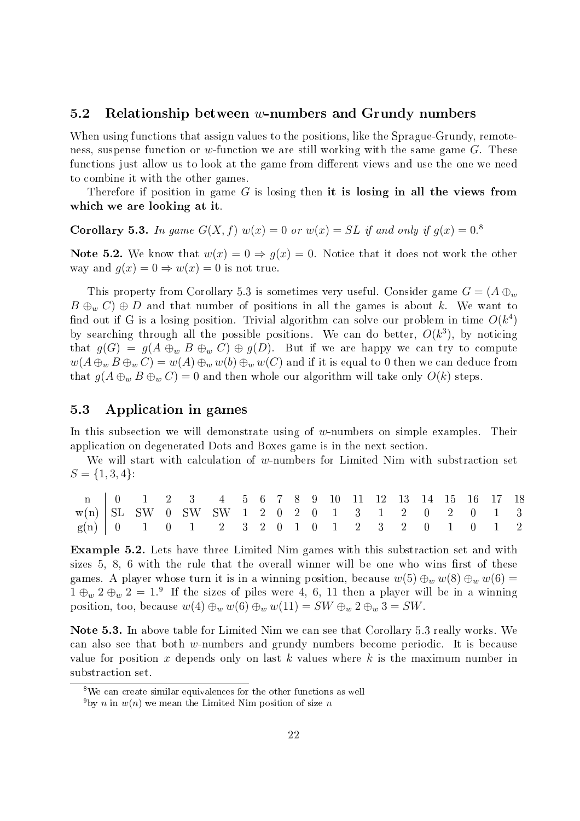#### 5.2 Relationship between w-numbers and Grundy numbers

When using functions that assign values to the positions, like the Sprague-Grundy, remoteness, suspense function or w-function we are still working with the same game  $G$ . These functions just allow us to look at the game from different views and use the one we need to combine it with the other games.

Therefore if position in game  $G$  is losing then it is losing in all the views from which we are looking at it.

**Corollary 5.3.** In game  $G(X, f)$   $w(x) = 0$  or  $w(x) = SL$  if and only if  $g(x) = 0$ .

Note 5.2. We know that  $w(x) = 0 \Rightarrow q(x) = 0$ . Notice that it does not work the other way and  $g(x) = 0 \Rightarrow w(x) = 0$  is not true.

This property from Corollary 5.3 is sometimes very useful. Consider game  $G = (A \oplus_w$  $B \oplus_w C$   $\oplus$  D and that number of positions in all the games is about k. We want to find out if G is a losing position. Trivial algorithm can solve our problem in time  $O(k^4)$ by searching through all the possible positions. We can do better,  $O(k^3)$ , by noticing that  $g(G) = g(A \oplus_w B \oplus_w C) \oplus g(D)$ . But if we are happy we can try to compute  $w(A \oplus_w B \oplus_w C) = w(A) \oplus_w w(b) \oplus_w w(C)$  and if it is equal to 0 then we can deduce from that  $g(A \oplus_w B \oplus_w C) = 0$  and then whole our algorithm will take only  $O(k)$  steps.

#### 5.3 Application in games

In this subsection we will demonstrate using of w-numbers on simple examples. Their application on degenerated Dots and Boxes game is in the next section.

We will start with calculation of w-numbers for Limited Nim with substraction set  $S = \{1, 3, 4\}$ :

| n 0 1 2 3 4 5 6 7 8 9 10 11 12 13 14 15 16 17 18 |  |  |  |  |  |  |  |  |  |  |
|--------------------------------------------------|--|--|--|--|--|--|--|--|--|--|
| $w(n)$ SL SW 0 SW SW 1 2 0 2 0 1 3 1 2 0 2 0 1 3 |  |  |  |  |  |  |  |  |  |  |
| $g(n)$ 0 1 0 1 2 3 2 0 1 0 1 2 3 2 0 1 0 1 2     |  |  |  |  |  |  |  |  |  |  |

Example 5.2. Lets have three Limited Nim games with this substraction set and with sizes  $5, 8, 6$  with the rule that the overall winner will be one who wins first of these games. A player whose turn it is in a winning position, because  $w(5) \bigoplus_w w(8) \bigoplus_w w(6) =$  $1 \oplus_w 2 \oplus_w 2 = 1.9$  If the sizes of piles were 4, 6, 11 then a player will be in a winning position, too, because  $w(4) \oplus_w w(6) \oplus_w w(11) = SW \oplus_w 2 \oplus_w 3 = SW$ .

Note 5.3. In above table for Limited Nim we can see that Corollary 5.3 really works. We can also see that both w-numbers and grundy numbers become periodic. It is because value for position x depends only on last k values where k is the maximum number in substraction set.

<sup>8</sup>We can create similar equivalences for the other functions as well

<sup>&</sup>lt;sup>9</sup>by *n* in  $w(n)$  we mean the Limited Nim position of size *n*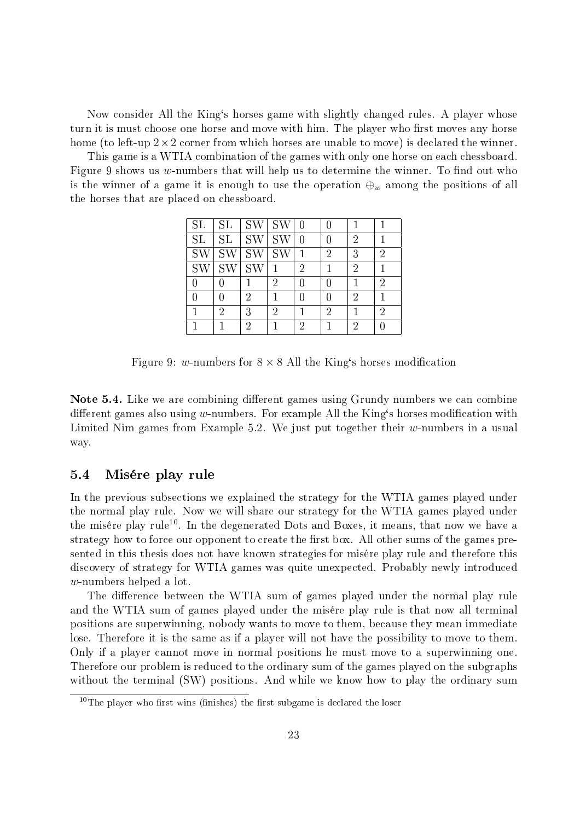Now consider All the King`s horses game with slightly changed rules. A player whose turn it is must choose one horse and move with him. The player who first moves any horse home (to left-up  $2\times 2$  corner from which horses are unable to move) is declared the winner.

This game is a WTIA combination of the games with only one horse on each chessboard. Figure 9 shows us w-numbers that will help us to determine the winner. To find out who is the winner of a game it is enough to use the operation  $\oplus_w$  among the positions of all the horses that are placed on chessboard.

| $\overline{\text{SL}}$ | SL          | <b>SW</b> | SW        |   | 0              | 1 |   |
|------------------------|-------------|-----------|-----------|---|----------------|---|---|
| <b>SL</b>              | SL          | <b>SW</b> | SW        |   | 0              | 2 |   |
| <b>SW</b>              | <b>SW</b>   | <b>SW</b> | <b>SW</b> |   | $\overline{2}$ | 3 | 2 |
| <b>SW</b>              | $\text{SW}$ | <b>SW</b> |           | 2 | 1              | 2 |   |
| 0                      |             |           | 2         |   | 0              |   | 2 |
|                        |             | 2         | 1         |   | 0              | 2 |   |
|                        | 2           | 3         | 2         |   | $\overline{2}$ | 1 | 2 |
|                        |             | 2         |           | 2 |                | 2 |   |

Figure 9: w-numbers for  $8 \times 8$  All the King's horses modification

Note 5.4. Like we are combining different games using Grundy numbers we can combine different games also using  $w$ -numbers. For example All the King's horses modification with Limited Nim games from Example 5.2. We just put together their  $w$ -numbers in a usual way.

#### 5.4 Misére play rule

In the previous subsections we explained the strategy for the WTIA games played under the normal play rule. Now we will share our strategy for the WTIA games played under the misére play rule<sup>10</sup>. In the degenerated Dots and Boxes, it means, that now we have a strategy how to force our opponent to create the first box. All other sums of the games presented in this thesis does not have known strategies for misére play rule and therefore this discovery of strategy for WTIA games was quite unexpected. Probably newly introduced w-numbers helped a lot.

The difference between the WTIA sum of games played under the normal play rule and the WTIA sum of games played under the misére play rule is that now all terminal positions are superwinning, nobody wants to move to them, because they mean immediate lose. Therefore it is the same as if a player will not have the possibility to move to them. Only if a player cannot move in normal positions he must move to a superwinning one. Therefore our problem is reduced to the ordinary sum of the games played on the subgraphs without the terminal (SW) positions. And while we know how to play the ordinary sum

 $10$ The player who first wins (finishes) the first subgame is declared the loser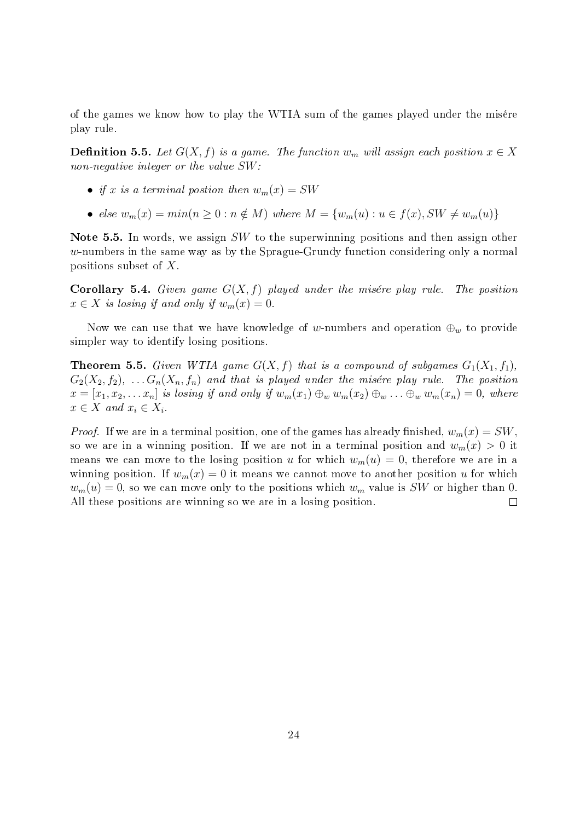of the games we know how to play the WTIA sum of the games played under the misére play rule.

**Definition 5.5.** Let  $G(X, f)$  is a game. The function  $w_m$  will assign each position  $x \in X$ non-negative integer or the value  $SW$ :

- if x is a terminal postion then  $w_m(x) = SW$
- else  $w_m(x) = min(n \geq 0 : n \notin M)$  where  $M = \{w_m(u) : u \in f(x), SW \neq w_m(u)\}\$

Note 5.5. In words, we assign SW to the superwinning positions and then assign other w-numbers in the same way as by the Sprague-Grundy function considering only a normal positions subset of X.

**Corollary 5.4.** Given game  $G(X, f)$  played under the misére play rule. The position  $x \in X$  is losing if and only if  $w_m(x) = 0$ .

Now we can use that we have knowledge of w-numbers and operation  $\oplus_w$  to provide simpler way to identify losing positions.

**Theorem 5.5.** Given WTIA game  $G(X, f)$  that is a compound of subgames  $G_1(X_1, f_1)$ ,  $G_2(X_2, f_2), \ldots, G_n(X_n, f_n)$  and that is played under the misére play rule. The position  $x = [x_1, x_2, \ldots x_n]$  is losing if and only if  $w_m(x_1) \oplus_w w_m(x_2) \oplus_w \ldots \oplus_w w_m(x_n) = 0$ , where  $x \in X$  and  $x_i \in X_i$ .

*Proof.* If we are in a terminal position, one of the games has already finished,  $w_m(x) = SW$ . so we are in a winning position. If we are not in a terminal position and  $w_m(x) > 0$  it means we can move to the losing position u for which  $w_m(u) = 0$ , therefore we are in a winning position. If  $w_m(x) = 0$  it means we cannot move to another position u for which  $w_m(u) = 0$ , so we can move only to the positions which  $w_m$  value is SW or higher than 0. All these positions are winning so we are in a losing position.  $\Box$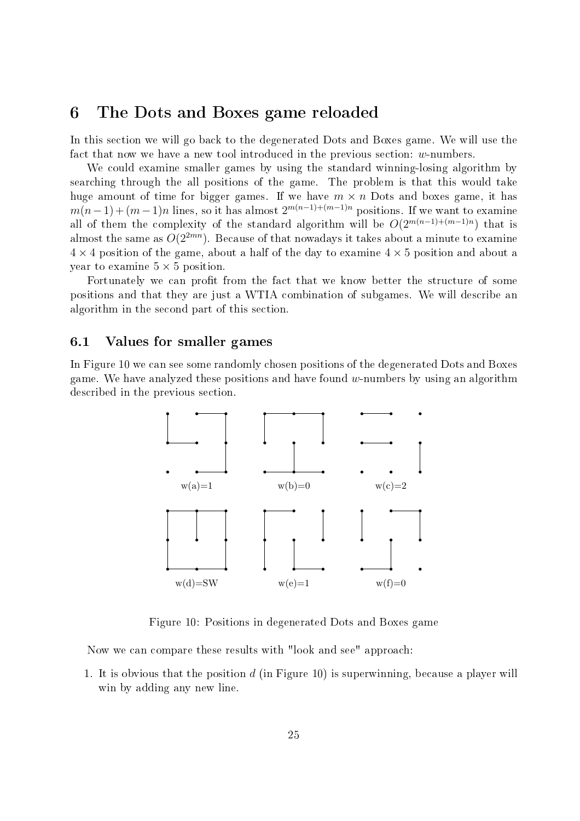### 6 The Dots and Boxes game reloaded

In this section we will go back to the degenerated Dots and Boxes game. We will use the fact that now we have a new tool introduced in the previous section: w-numbers.

We could examine smaller games by using the standard winning-losing algorithm by searching through the all positions of the game. The problem is that this would take huge amount of time for bigger games. If we have  $m \times n$  Dots and boxes game, it has  $m(n-1) + (m-1)n$  lines, so it has almost  $2^{m(n-1)+(m-1)n}$  positions. If we want to examine all of them the complexity of the standard algorithm will be  $O(2^{m(n-1)+(m-1)n})$  that is almost the same as  $O(2^{2mn})$ . Because of that nowadays it takes about a minute to examine  $4 \times 4$  position of the game, about a half of the day to examine  $4 \times 5$  position and about a year to examine  $5 \times 5$  position.

Fortunately we can profit from the fact that we know better the structure of some positions and that they are just a WTIA combination of subgames. We will describe an algorithm in the second part of this section.

#### 6.1 Values for smaller games

In Figure 10 we can see some randomly chosen positions of the degenerated Dots and Boxes game. We have analyzed these positions and have found  $w$ -numbers by using an algorithm described in the previous section.



Figure 10: Positions in degenerated Dots and Boxes game

Now we can compare these results with "look and see" approach:

1. It is obvious that the position d (in Figure 10) is superwinning, because a player will win by adding any new line.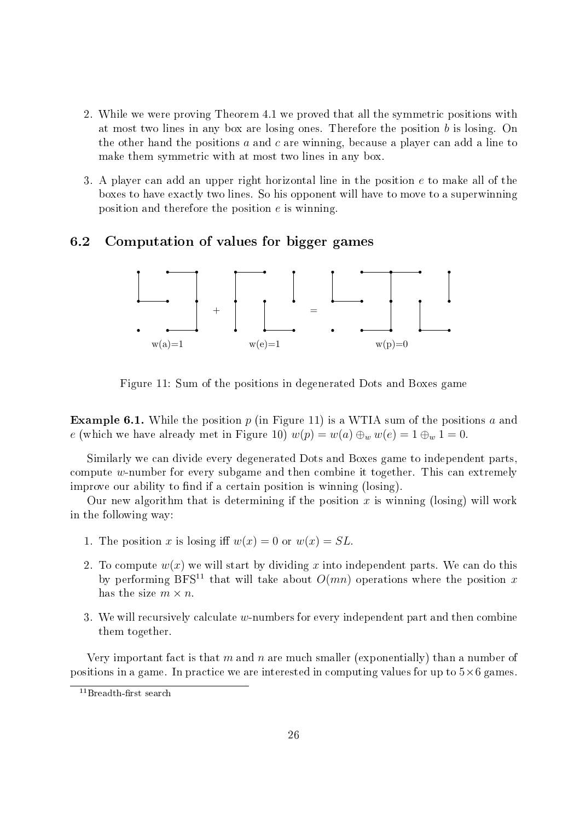- 2. While we were proving Theorem 4.1 we proved that all the symmetric positions with at most two lines in any box are losing ones. Therefore the position b is losing. On the other hand the positions  $a$  and  $c$  are winning, because a player can add a line to make them symmetric with at most two lines in any box.
- 3. A player can add an upper right horizontal line in the position e to make all of the boxes to have exactly two lines. So his opponent will have to move to a superwinning position and therefore the position e is winning.

#### 6.2 Computation of values for bigger games



Figure 11: Sum of the positions in degenerated Dots and Boxes game

**Example 6.1.** While the position  $p$  (in Figure 11) is a WTIA sum of the positions a and e (which we have already met in Figure 10)  $w(p) = w(a) \bigoplus_{w} w(e) = 1 \bigoplus_{w} 1 = 0$ .

Similarly we can divide every degenerated Dots and Boxes game to independent parts, compute w-number for every subgame and then combine it together. This can extremely improve our ability to find if a certain position is winning (losing).

Our new algorithm that is determining if the position  $x$  is winning (losing) will work in the following way:

- 1. The position x is losing iff  $w(x) = 0$  or  $w(x) = SL$ .
- 2. To compute  $w(x)$  we will start by dividing x into independent parts. We can do this by performing BFS<sup>11</sup> that will take about  $O(mn)$  operations where the position x has the size  $m \times n$ .
- 3. We will recursively calculate  $w$ -numbers for every independent part and then combine them together.

Very important fact is that m and n are much smaller (exponentially) than a number of positions in a game. In practice we are interested in computing values for up to  $5\times 6$  games.

 $11$ Breadth-first search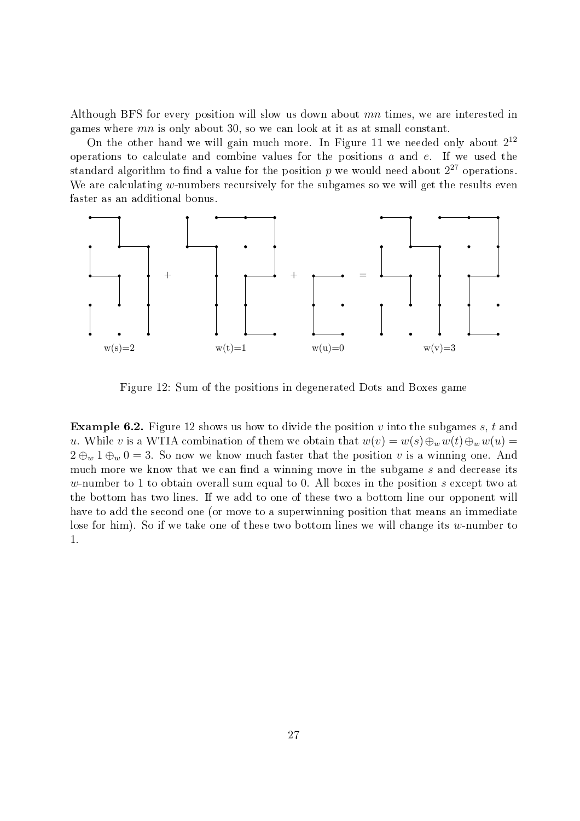Although BFS for every position will slow us down about mn times, we are interested in games where  $mn$  is only about 30, so we can look at it as at small constant.

On the other hand we will gain much more. In Figure 11 we needed only about  $2^{12}$ operations to calculate and combine values for the positions a and e. If we used the standard algorithm to find a value for the position  $p$  we would need about  $2^{27}$  operations. We are calculating  $w$ -numbers recursively for the subgames so we will get the results even faster as an additional bonus.



Figure 12: Sum of the positions in degenerated Dots and Boxes game

**Example 6.2.** Figure 12 shows us how to divide the position v into the subgames s, t and u. While v is a WTIA combination of them we obtain that  $w(v) = w(s) \bigoplus_{w} w(t) \bigoplus_{w} w(u) =$  $2 \oplus_w 1 \oplus_w 0 = 3$ . So now we know much faster that the position v is a winning one. And much more we know that we can find a winning move in the subgame  $s$  and decrease its w-number to 1 to obtain overall sum equal to 0. All boxes in the position s except two at the bottom has two lines. If we add to one of these two a bottom line our opponent will have to add the second one (or move to a superwinning position that means an immediate lose for him). So if we take one of these two bottom lines we will change its w-number to 1.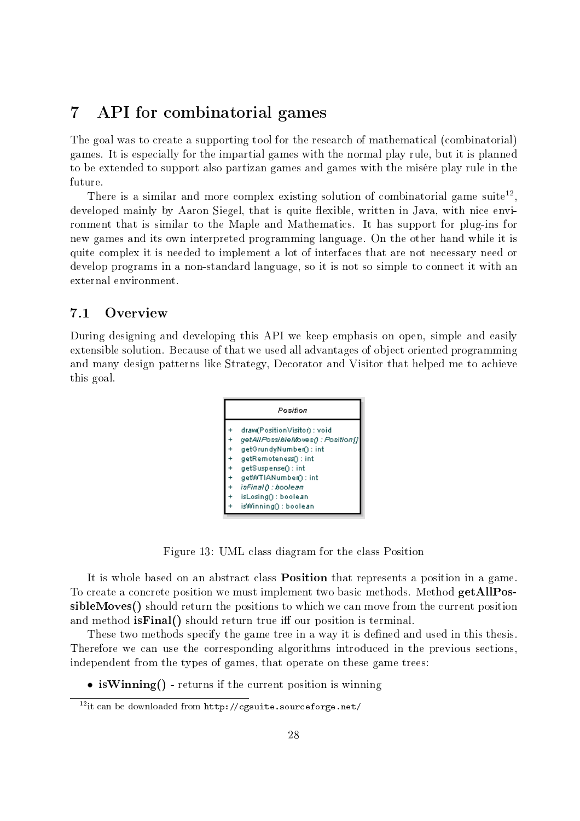### 7 API for combinatorial games

The goal was to create a supporting tool for the research of mathematical (combinatorial) games. It is especially for the impartial games with the normal play rule, but it is planned to be extended to support also partizan games and games with the misére play rule in the future.

There is a similar and more complex existing solution of combinatorial game suite<sup>12</sup>, developed mainly by Aaron Siegel, that is quite flexible, written in Java, with nice environment that is similar to the Maple and Mathematics. It has support for plug-ins for new games and its own interpreted programming language. On the other hand while it is quite complex it is needed to implement a lot of interfaces that are not necessary need or develop programs in a non-standard language, so it is not so simple to connect it with an external environment.

#### 7.1 Overview

During designing and developing this API we keep emphasis on open, simple and easily extensible solution. Because of that we used all advantages of object oriented programming and many design patterns like Strategy, Decorator and Visitor that helped me to achieve this goal.



Figure 13: UML class diagram for the class Position

It is whole based on an abstract class Position that represents a position in a game. To create a concrete position we must implement two basic methods. Method getAllPossibleMoves() should return the positions to which we can move from the current position and method  $\mathrm{isFinal}()$  should return true iff our position is terminal.

These two methods specify the game tree in a way it is defined and used in this thesis. Therefore we can use the corresponding algorithms introduced in the previous sections, independent from the types of games, that operate on these game trees:

• is Winning() - returns if the current position is winning

<sup>12</sup>it can be downloaded from http://cgsuite.sourceforge.net/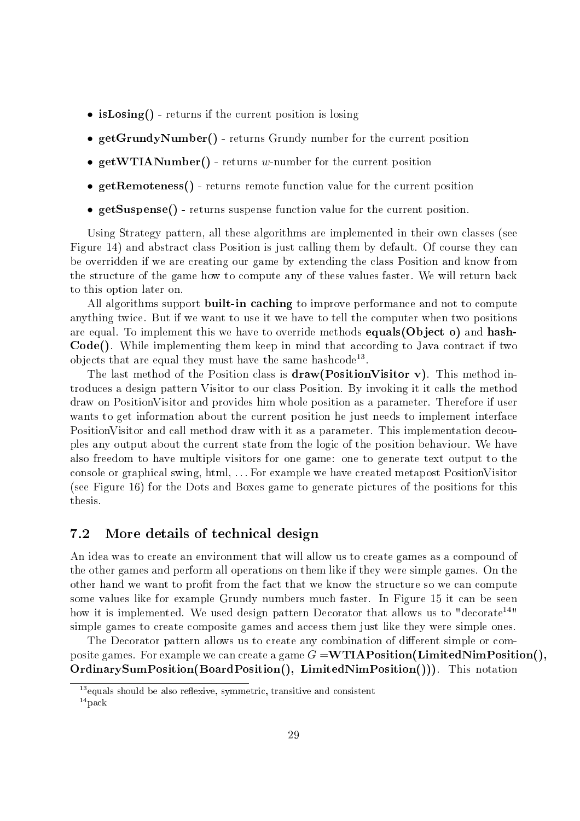- isLosing() returns if the current position is losing
- getGrundyNumber() returns Grundy number for the current position
- getWTIANumber() returns w-number for the current position
- getRemoteness() returns remote function value for the current position
- getSuspense() returns suspense function value for the current position.

Using Strategy pattern, all these algorithms are implemented in their own classes (see Figure 14) and abstract class Position is just calling them by default. Of course they can be overridden if we are creating our game by extending the class Position and know from the structure of the game how to compute any of these values faster. We will return back to this option later on.

All algorithms support **built-in caching** to improve performance and not to compute anything twice. But if we want to use it we have to tell the computer when two positions are equal. To implement this we have to override methods equals(Object o) and hash-Code(). While implementing them keep in mind that according to Java contract if two objects that are equal they must have the same hashcode<sup>13</sup>.

The last method of the Position class is  $d\mathbf{r}$  aw (Position Visitor v). This method introduces a design pattern Visitor to our class Position. By invoking it it calls the method draw on PositionVisitor and provides him whole position as a parameter. Therefore if user wants to get information about the current position he just needs to implement interface PositionVisitor and call method draw with it as a parameter. This implementation decouples any output about the current state from the logic of the position behaviour. We have also freedom to have multiple visitors for one game: one to generate text output to the console or graphical swing, html, . . . For example we have created metapost PositionVisitor (see Figure 16) for the Dots and Boxes game to generate pictures of the positions for this thesis.

#### 7.2 More details of technical design

An idea was to create an environment that will allow us to create games as a compound of the other games and perform all operations on them like if they were simple games. On the other hand we want to profit from the fact that we know the structure so we can compute some values like for example Grundy numbers much faster. In Figure 15 it can be seen how it is implemented. We used design pattern Decorator that allows us to "decorate<sup>14"</sup> simple games to create composite games and access them just like they were simple ones.

The Decorator pattern allows us to create any combination of different simple or composite games. For example we can create a game  $G = \textbf{WTIAPosition}(LimitedNumPosition(),$ OrdinarySumPosition(BoardPosition(), LimitedNimPosition())). This notation

 $13$  equals should be also reflexive, symmetric, transitive and consistent

 $14$  pack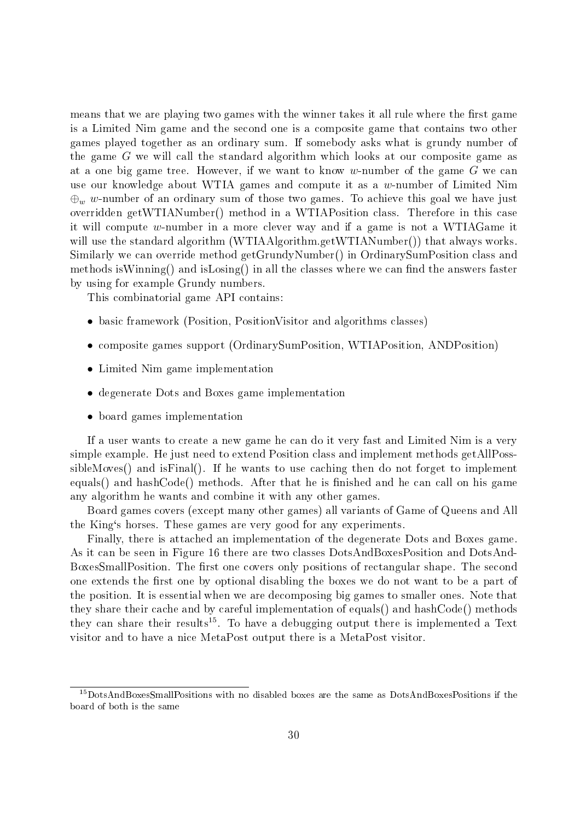means that we are playing two games with the winner takes it all rule where the first game is a Limited Nim game and the second one is a composite game that contains two other games played together as an ordinary sum. If somebody asks what is grundy number of the game G we will call the standard algorithm which looks at our composite game as at a one big game tree. However, if we want to know w-number of the game  $G$  we can use our knowledge about WTIA games and compute it as a w-number of Limited Nim  $\bigoplus_w w$ -number of an ordinary sum of those two games. To achieve this goal we have just overridden getWTIANumber() method in a WTIAPosition class. Therefore in this case it will compute w-number in a more clever way and if a game is not a WTIAGame it will use the standard algorithm (WTIAAlgorithm.getWTIANumber()) that always works. Similarly we can override method getGrundyNumber() in OrdinarySumPosition class and methods is Winning() and is Losing() in all the classes where we can find the answers faster by using for example Grundy numbers.

This combinatorial game API contains:

- basic framework (Position, PositionVisitor and algorithms classes)
- composite games support (OrdinarySumPosition, WTIAPosition, ANDPosition)
- Limited Nim game implementation
- degenerate Dots and Boxes game implementation
- board games implementation

If a user wants to create a new game he can do it very fast and Limited Nim is a very simple example. He just need to extend Position class and implement methods getAllPosssibleMoves() and isFinal(). If he wants to use caching then do not forget to implement equals() and hashCode() methods. After that he is finished and he can call on his game any algorithm he wants and combine it with any other games.

Board games covers (except many other games) all variants of Game of Queens and All the King`s horses. These games are very good for any experiments.

Finally, there is attached an implementation of the degenerate Dots and Boxes game. As it can be seen in Figure 16 there are two classes DotsAndBoxesPosition and DotsAnd-BoxesSmallPosition. The first one covers only positions of rectangular shape. The second one extends the first one by optional disabling the boxes we do not want to be a part of the position. It is essential when we are decomposing big games to smaller ones. Note that they share their cache and by careful implementation of equals() and hashCode() methods they can share their results<sup>15</sup>. To have a debugging output there is implemented a Text visitor and to have a nice MetaPost output there is a MetaPost visitor.

<sup>15</sup>DotsAndBoxesSmallPositions with no disabled boxes are the same as DotsAndBoxesPositions if the board of both is the same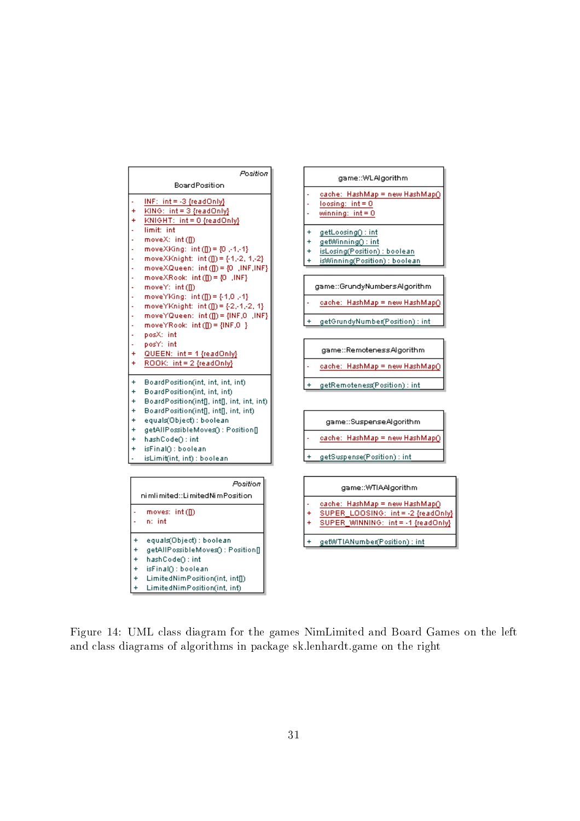

Figure 14: UML class diagram for the games NimLimited and Board Games on the left and class diagrams of algorithms in package sk.lenhardt.game on the right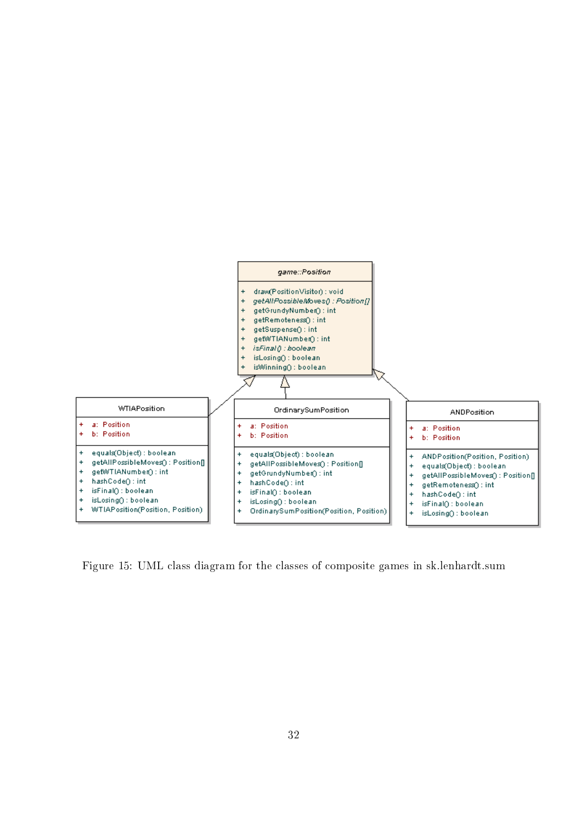

Figure 15: UML class diagram for the classes of composite games in sk.lenhardt.sum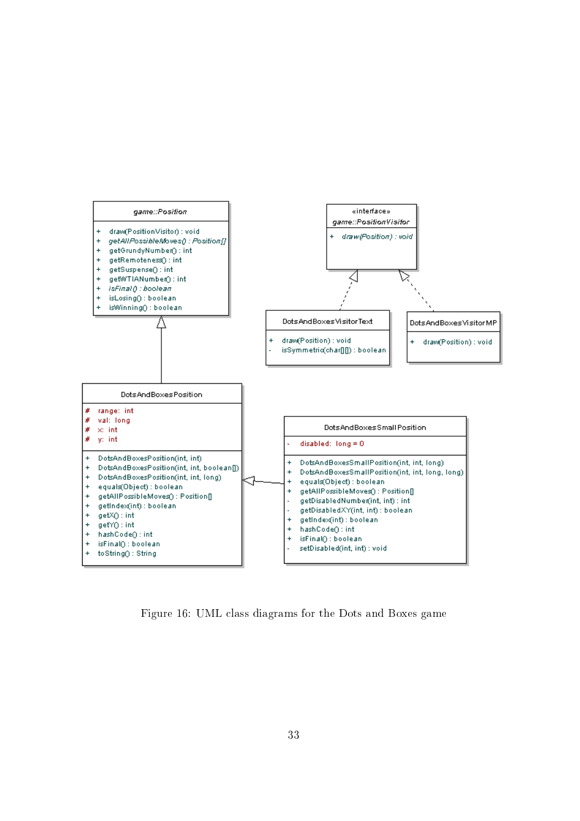

Figure 16: UML class diagrams for the Dots and Boxes game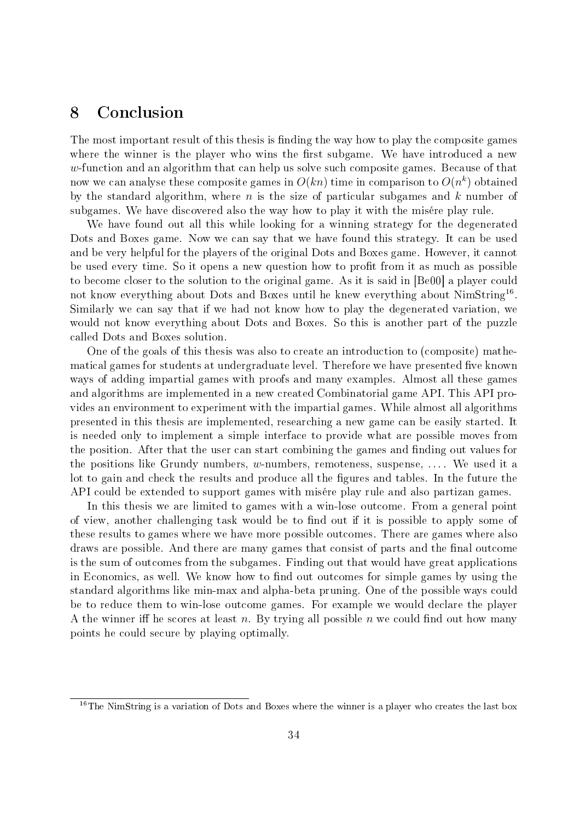### 8 Conclusion

The most important result of this thesis is finding the way how to play the composite games where the winner is the player who wins the first subgame. We have introduced a new  $w$ -function and an algorithm that can help us solve such composite games. Because of that now we can analyse these composite games in  $O(kn)$  time in comparison to  $O(n^k)$  obtained by the standard algorithm, where  $n$  is the size of particular subgames and  $k$  number of subgames. We have discovered also the way how to play it with the misére play rule.

We have found out all this while looking for a winning strategy for the degenerated Dots and Boxes game. Now we can say that we have found this strategy. It can be used and be very helpful for the players of the original Dots and Boxes game. However, it cannot be used every time. So it opens a new question how to profit from it as much as possible to become closer to the solution to the original game. As it is said in [Be00] a player could not know everything about Dots and Boxes until he knew everything about  $\mathrm{NimString^{16}}.$ Similarly we can say that if we had not know how to play the degenerated variation, we would not know everything about Dots and Boxes. So this is another part of the puzzle called Dots and Boxes solution.

One of the goals of this thesis was also to create an introduction to (composite) mathematical games for students at undergraduate level. Therefore we have presented five known ways of adding impartial games with proofs and many examples. Almost all these games and algorithms are implemented in a new created Combinatorial game API. This API provides an environment to experiment with the impartial games. While almost all algorithms presented in this thesis are implemented, researching a new game can be easily started. It is needed only to implement a simple interface to provide what are possible moves from the position. After that the user can start combining the games and finding out values for the positions like Grundy numbers, w-numbers, remoteness, suspense,  $\dots$ . We used it a lot to gain and check the results and produce all the gures and tables. In the future the API could be extended to support games with misére play rule and also partizan games.

In this thesis we are limited to games with a win-lose outcome. From a general point of view, another challenging task would be to find out if it is possible to apply some of these results to games where we have more possible outcomes. There are games where also draws are possible. And there are many games that consist of parts and the final outcome is the sum of outcomes from the subgames. Finding out that would have great applications in Economics, as well. We know how to find out outcomes for simple games by using the standard algorithms like min-max and alpha-beta pruning. One of the possible ways could be to reduce them to win-lose outcome games. For example we would declare the player A the winner if he scores at least n. By trying all possible n we could find out how many points he could secure by playing optimally.

<sup>&</sup>lt;sup>16</sup>The NimString is a variation of Dots and Boxes where the winner is a player who creates the last box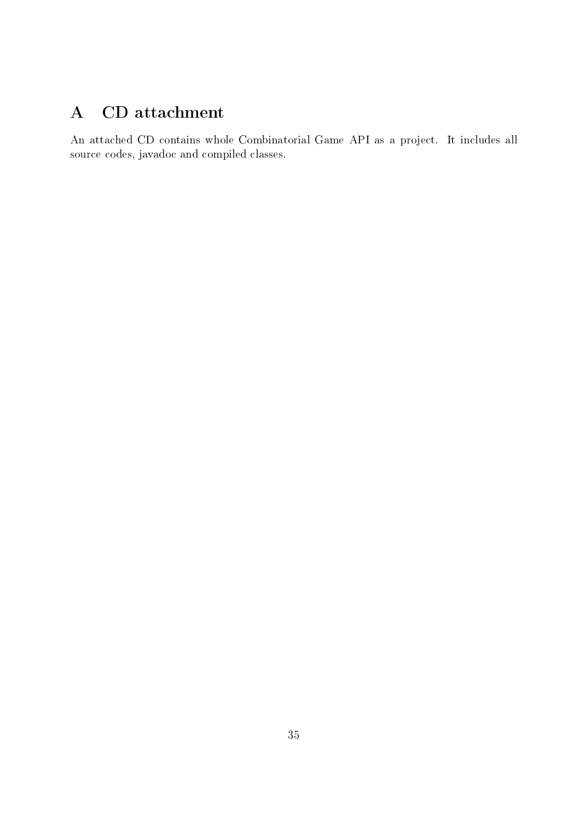## A CD attachment

An attached CD contains whole Combinatorial Game API as a project. It includes all source codes, javadoc and compiled classes.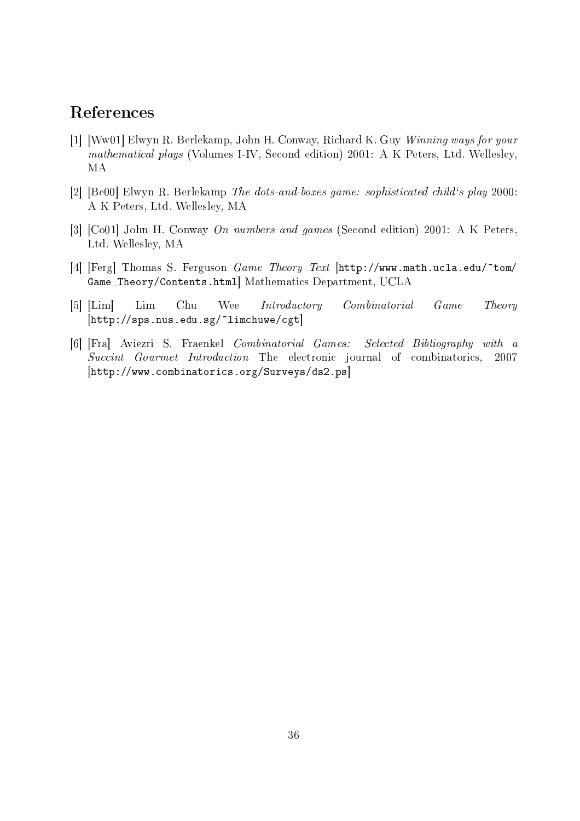### References

- [1] [Ww01] Elwyn R. Berlekamp, John H. Conway, Richard K. Guy Winning ways for your mathematical plays (Volumes I-IV, Second edition) 2001: A K Peters, Ltd. Wellesley, MA
- [2] [Be00] Elwyn R. Berlekamp The dots-and-boxes game: sophisticated child`s play 2000: A K Peters, Ltd. Wellesley, MA
- [3] [Co01] John H. Conway On numbers and games (Second edition) 2001: A K Peters, Ltd. Wellesley, MA
- [4] [Ferg] Thomas S. Ferguson  $Game$  Theory Text [http://www.math.ucla.edu/ $\text{\texttt{tom}}$ / Game\_Theory/Contents.html] Mathematics Department, UCLA
- [5] [Lim] Lim Chu Wee Introductory Combinatorial Game Theory  $[http://sps.nus.edu.sg/~limchuwe/cgt]$
- [6] [Fra] Aviezri S. Fraenkel Combinatorial Games: Selected Bibliography with a Succint Gourmet Introduction The electronic journal of combinatorics, 2007 [http://www.combinatorics.org/Surveys/ds2.ps]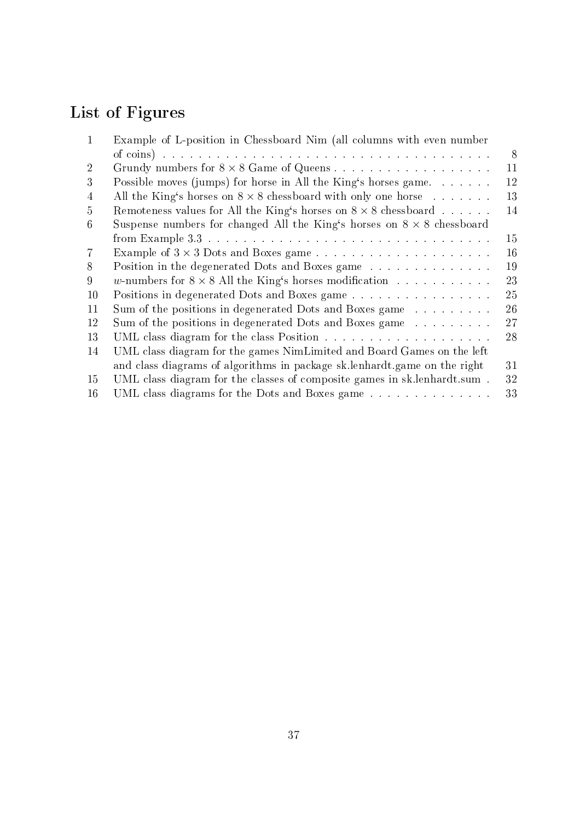# List of Figures

| $\mathbf{1}$   | Example of L-position in Chessboard Nim (all columns with even number         |    |
|----------------|-------------------------------------------------------------------------------|----|
|                |                                                                               | 8  |
| $\overline{2}$ |                                                                               | 11 |
| 3              | Possible moves (jumps) for horse in All the King's horses game                | 12 |
| $\overline{4}$ | All the King's horses on $8 \times 8$ chessboard with only one horse          | 13 |
| 5              | Remoteness values for All the King's horses on $8 \times 8$ chessboard        | 14 |
| 6              | Suspense numbers for changed All the King's horses on $8 \times 8$ chessboard |    |
|                |                                                                               | 15 |
| 7              |                                                                               | 16 |
| 8              | Position in the degenerated Dots and Boxes game                               | 19 |
| 9              | w-numbers for $8 \times 8$ All the King's horses modification                 | 23 |
| 10             | Positions in degenerated Dots and Boxes game                                  | 25 |
| 11             | Sum of the positions in degenerated Dots and Boxes game                       | 26 |
| 12             | Sum of the positions in degenerated Dots and Boxes game                       | 27 |
| 13             |                                                                               | 28 |
| 14             | UML class diagram for the games NimLimited and Board Games on the left        |    |
|                | and class diagrams of algorithms in package sk.lenhardt.game on the right     | 31 |
| 15             | UML class diagram for the classes of composite games in sk.lenhardt.sum.      | 32 |
| 16             | UML class diagrams for the Dots and Boxes game                                | 33 |